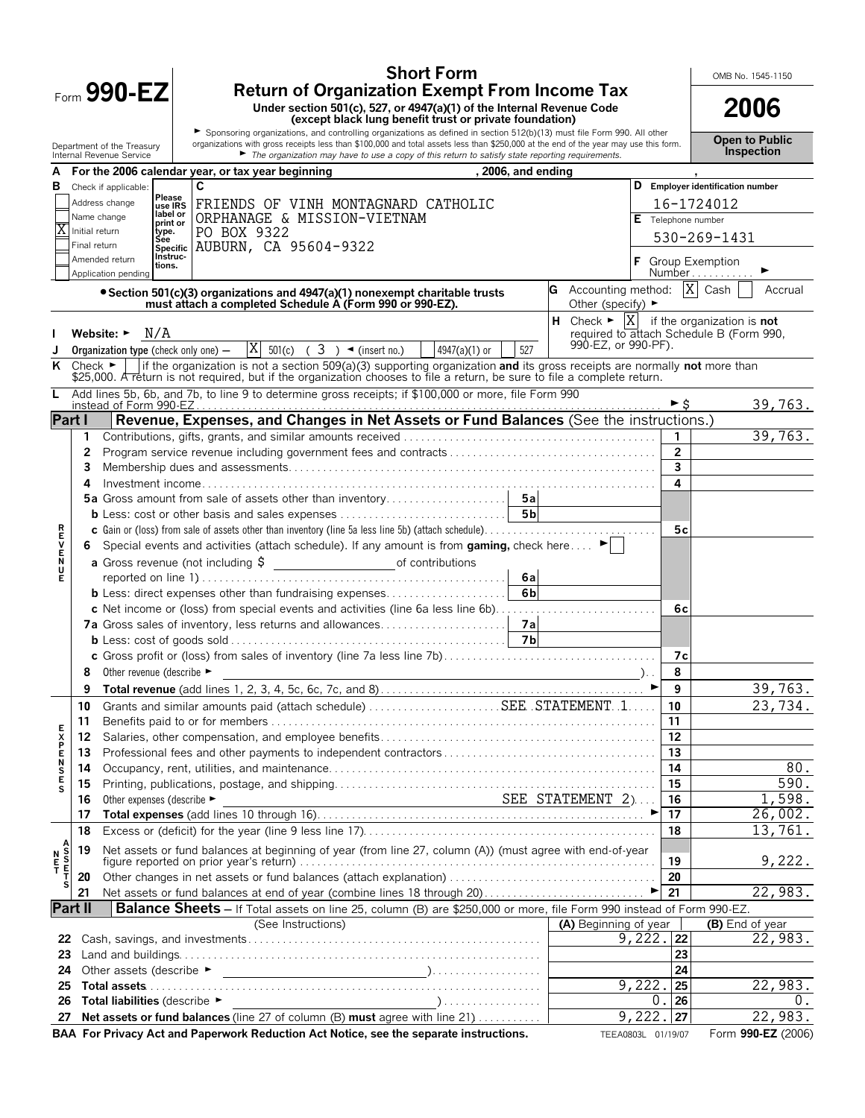|                                 |              | <b>Short Form</b>                                                                                                                                                                                                                                                                            |                                        |                                       |                    | OMB No. 1545-1150                                                            |
|---------------------------------|--------------|----------------------------------------------------------------------------------------------------------------------------------------------------------------------------------------------------------------------------------------------------------------------------------------------|----------------------------------------|---------------------------------------|--------------------|------------------------------------------------------------------------------|
|                                 |              | <b>Return of Organization Exempt From Income Tax</b><br>Form 990-EZ<br>Under section 501(c), 527, or 4947(a)(1) of the Internal Revenue Code                                                                                                                                                 |                                        |                                       |                    |                                                                              |
|                                 |              | (except black lung benefit trust or private foundation)                                                                                                                                                                                                                                      |                                        |                                       |                    | 2006                                                                         |
|                                 |              | Sponsoring organizations, and controlling organizations as defined in section 512(b)(13) must file Form 990. All other<br>organizations with gross receipts less than \$100,000 and total assets less than \$250,000 at the end of the year may use this form.<br>Department of the Treasury |                                        |                                       |                    | <b>Open to Public</b>                                                        |
|                                 |              | The organization may have to use a copy of this return to satisfy state reporting requirements.<br>Internal Revenue Service                                                                                                                                                                  |                                        |                                       |                    | <b>Inspection</b>                                                            |
|                                 |              | For the 2006 calendar year, or tax year beginning<br>, 2006, and ending<br>C                                                                                                                                                                                                                 |                                        |                                       |                    | D Employer identification number                                             |
| в                               |              | Check if applicable:<br>Please<br>Address change                                                                                                                                                                                                                                             |                                        |                                       |                    |                                                                              |
|                                 |              | FRIENDS OF VINH MONTAGNARD CATHOLIC<br>use IRS<br>label or<br>ORPHANAGE & MISSION-VIETNAM<br>Name change                                                                                                                                                                                     |                                        |                                       | E Telephone number | 16-1724012                                                                   |
| Χ                               |              | print or<br>Initial return<br>PO BOX 9322<br>type.<br>See                                                                                                                                                                                                                                    |                                        |                                       |                    | 530-269-1431                                                                 |
|                                 | Final return | AUBURN, CA 95604-9322<br><b>Specific</b><br>Instruc-                                                                                                                                                                                                                                         |                                        |                                       |                    |                                                                              |
|                                 |              | Amended return<br>tions.<br>Application pending                                                                                                                                                                                                                                              |                                        |                                       |                    | <b>F</b> Group Exemption<br>Number                                           |
|                                 |              | • Section 501(c)(3) organizations and 4947(a)(1) nonexempt charitable trusts<br>must attach a completed Schedule A (Form 990 or 990-EZ).                                                                                                                                                     | <b>G</b> Accounting method: $ X $ Cash | Other (specify) $\blacktriangleright$ |                    | Accrual                                                                      |
|                                 |              |                                                                                                                                                                                                                                                                                              |                                        |                                       |                    | <b>H</b> Check $\blacktriangleright$ $ X $ if the organization is <b>not</b> |
|                                 |              | N/A<br>Website: $\blacktriangleright$                                                                                                                                                                                                                                                        |                                        | 990-EZ, or 990-PF).                   |                    | required to attach Schedule B (Form 990,                                     |
|                                 |              | $ X $ 501(c) ( 3 ) $\blacktriangleleft$ (insert no.)<br>527<br>4947(a)(1) or<br><b>Organization type (check only one) —</b>                                                                                                                                                                  |                                        |                                       |                    |                                                                              |
| ĸ                               |              | if the organization is not a section 509(a)(3) supporting organization and its gross receipts are normally not more than<br>Check $\blacktriangleright$<br>\$25,000. A return is not required, but if the organization chooses to file a return, be sure to file a complete return.          |                                        |                                       |                    |                                                                              |
| L                               |              | Add lines 5b, 6b, and 7b, to line 9 to determine gross receipts; if \$100,000 or more, file Form 990                                                                                                                                                                                         |                                        |                                       | ►Ŝ                 | 39,763.                                                                      |
| Part I                          |              | Revenue, Expenses, and Changes in Net Assets or Fund Balances (See the instructions.)                                                                                                                                                                                                        |                                        |                                       |                    |                                                                              |
|                                 | 1            |                                                                                                                                                                                                                                                                                              |                                        |                                       |                    | 39,763.                                                                      |
|                                 | 2            |                                                                                                                                                                                                                                                                                              |                                        |                                       | $\overline{2}$     |                                                                              |
|                                 | 3            |                                                                                                                                                                                                                                                                                              |                                        |                                       | 3                  |                                                                              |
|                                 | 4            |                                                                                                                                                                                                                                                                                              |                                        |                                       | 4                  |                                                                              |
|                                 |              |                                                                                                                                                                                                                                                                                              |                                        |                                       |                    |                                                                              |
|                                 |              |                                                                                                                                                                                                                                                                                              |                                        |                                       | 5c                 |                                                                              |
|                                 | 6.           | Special events and activities (attach schedule). If any amount is from gaming, check here                                                                                                                                                                                                    |                                        |                                       |                    |                                                                              |
| <b>RHVEND</b>                   |              |                                                                                                                                                                                                                                                                                              |                                        |                                       |                    |                                                                              |
| Е                               |              | 6al                                                                                                                                                                                                                                                                                          |                                        |                                       |                    |                                                                              |
|                                 |              | 6 <sub>b</sub><br><b>b</b> Less: direct expenses other than fundraising expenses                                                                                                                                                                                                             |                                        |                                       |                    |                                                                              |
|                                 |              | c Net income or (loss) from special events and activities (line 6a less line 6b)                                                                                                                                                                                                             |                                        |                                       | 6c                 |                                                                              |
|                                 |              | 7a Gross sales of inventory, less returns and allowances<br>7a                                                                                                                                                                                                                               |                                        |                                       |                    |                                                                              |
|                                 |              |                                                                                                                                                                                                                                                                                              |                                        |                                       | 7c                 |                                                                              |
|                                 | 8            | Other revenue (describe ►                                                                                                                                                                                                                                                                    |                                        |                                       | 8                  |                                                                              |
|                                 | 9            |                                                                                                                                                                                                                                                                                              |                                        | ►                                     | 9                  | 39,763.                                                                      |
|                                 | 10           |                                                                                                                                                                                                                                                                                              |                                        |                                       | 10                 | 23,734.                                                                      |
|                                 | 11           |                                                                                                                                                                                                                                                                                              |                                        |                                       | 11                 |                                                                              |
|                                 | 12           |                                                                                                                                                                                                                                                                                              |                                        |                                       | 12                 |                                                                              |
| <b>FXPENSE</b>                  | 13           |                                                                                                                                                                                                                                                                                              |                                        |                                       | 13                 |                                                                              |
|                                 | 14           |                                                                                                                                                                                                                                                                                              |                                        |                                       | 14                 | 80.<br>590.                                                                  |
| s                               | 15<br>16     | Other expenses (describe ►                                                                                                                                                                                                                                                                   | SEE STATEMENT 2)                       |                                       | 15<br>16           | 1,598.                                                                       |
|                                 | 17           | Other expenses (describe $\blacktriangleright$ SEE STATEMENT 2)                                                                                                                                                                                                                              |                                        |                                       | 17                 | 26,002.                                                                      |
|                                 | 18           |                                                                                                                                                                                                                                                                                              |                                        |                                       | 18                 | 13,761.                                                                      |
|                                 | 19           | Net assets or fund balances at beginning of year (from line 27, column (A)) (must agree with end-of-year                                                                                                                                                                                     |                                        |                                       |                    |                                                                              |
| A<br>S<br>T<br>T<br>N<br>E<br>T |              |                                                                                                                                                                                                                                                                                              |                                        |                                       | 19                 | 9,222.                                                                       |
| s                               | 20           |                                                                                                                                                                                                                                                                                              |                                        |                                       | 20                 | 22,983.                                                                      |
| Part II                         | 21           | Net assets or fund balances at end of year (combine lines 18 through 20)▶<br>Balance Sheets - If Total assets on line 25, column (B) are \$250,000 or more, file Form 990 instead of Form 990-EZ.                                                                                            |                                        |                                       | 21                 |                                                                              |
|                                 |              | (See Instructions)                                                                                                                                                                                                                                                                           | (A) Beginning of year                  |                                       |                    | (B) End of year                                                              |
| 22                              |              |                                                                                                                                                                                                                                                                                              |                                        | 9,222.                                | 22                 | 22,983.                                                                      |
| 23                              |              |                                                                                                                                                                                                                                                                                              |                                        |                                       | 23                 |                                                                              |
| 24                              |              |                                                                                                                                                                                                                                                                                              |                                        |                                       | 24                 |                                                                              |
| 25                              |              |                                                                                                                                                                                                                                                                                              |                                        | 9,222.<br>$\mathbf 0$                 | 25                 | 22,983.                                                                      |
| 26<br>27                        |              | Total liabilities (describe ▶<br>Net assets or fund balances (line 27 of column (B) must agree with line 21)                                                                                                                                                                                 |                                        | 9,222                                 | 26<br>27           | 0.<br>22,983.                                                                |
|                                 |              | BAA For Privacy Act and Paperwork Reduction Act Notice, see the separate instructions.                                                                                                                                                                                                       |                                        | TEEA0803L 01/19/07                    |                    | Form 990-EZ (2006)                                                           |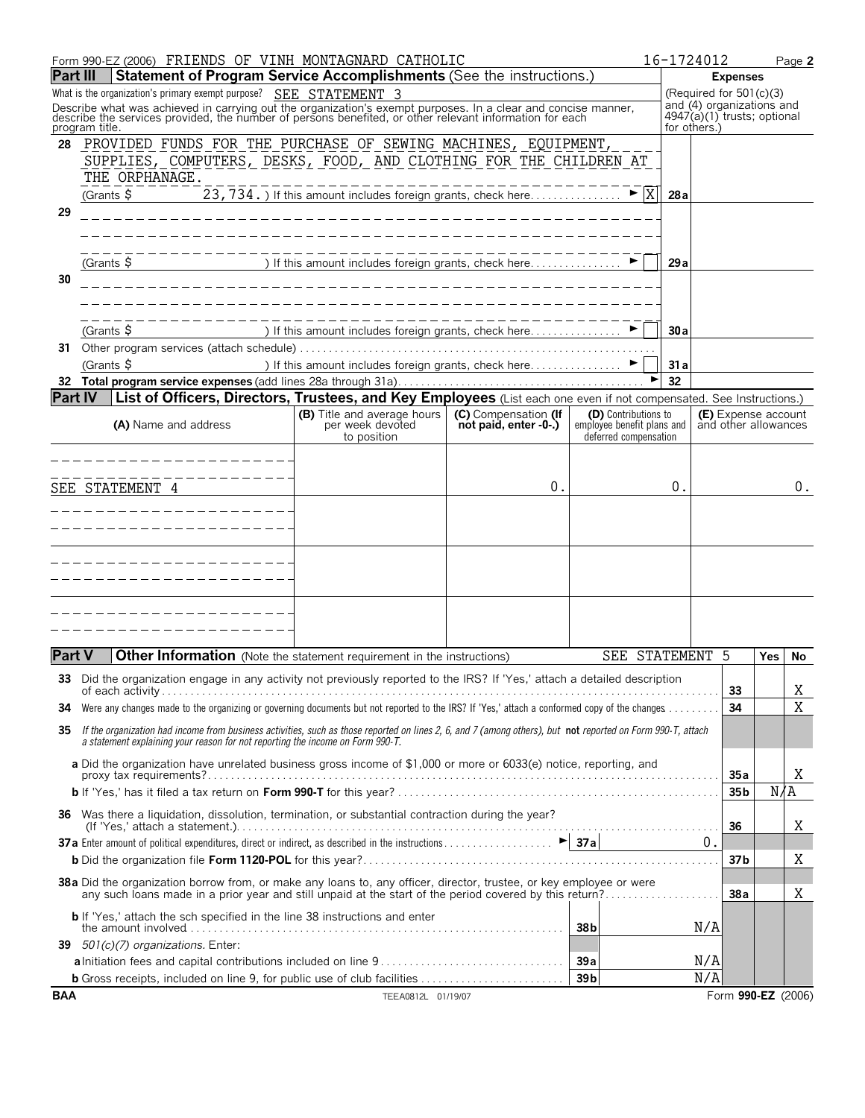|                 | Form 990-EZ (2006) FRIENDS OF VINH MONTAGNARD CATHOLIC                                                                                                                                                                                                                                                        |                                                             |    |                          | 16-1724012   |                                                                                         |                                             | Page 2 |
|-----------------|---------------------------------------------------------------------------------------------------------------------------------------------------------------------------------------------------------------------------------------------------------------------------------------------------------------|-------------------------------------------------------------|----|--------------------------|--------------|-----------------------------------------------------------------------------------------|---------------------------------------------|--------|
| <b>Part III</b> | Statement of Program Service Accomplishments (See the instructions.)                                                                                                                                                                                                                                          |                                                             |    |                          |              | <b>Expenses</b>                                                                         |                                             |        |
|                 | What is the organization's primary exempt purpose? SEE STATEMENT 3<br>Describe what was achieved in carrying out the organization's exempt purposes. In a clear and concise manner, describe the services provided, the number of persons benefited, or other relevant information for each<br>program title. |                                                             |    |                          | for others.) | (Required for $501(c)(3)$<br>and (4) organizations and<br>$4947(a)(1)$ trusts; optional |                                             |        |
| 28              | PROVIDED FUNDS FOR THE PURCHASE OF SEWING MACHINES, EQUIPMENT,<br>SUPPLIES, COMPUTERS, DESKS, FOOD, AND CLOTHING FOR THE CHILDREN AT<br>THE ORPHANAGE.<br>(Grants $\frac{1}{2}$                                                                                                                               | 23, 734. If this amount includes foreign grants, check here |    | $\blacktriangleright$  X | 28a          |                                                                                         |                                             |        |
| 29              |                                                                                                                                                                                                                                                                                                               |                                                             |    |                          |              |                                                                                         |                                             |        |
| 30              | (Grants \$                                                                                                                                                                                                                                                                                                    |                                                             |    |                          | 29 a         |                                                                                         |                                             |        |
|                 |                                                                                                                                                                                                                                                                                                               |                                                             |    |                          |              |                                                                                         |                                             |        |
|                 | $(Grants$ \$<br>31 Other program services (attach schedule).                                                                                                                                                                                                                                                  |                                                             |    |                          | 30a          |                                                                                         |                                             |        |
|                 | (Grants \$                                                                                                                                                                                                                                                                                                    |                                                             |    |                          | 31 a         |                                                                                         |                                             |        |
|                 |                                                                                                                                                                                                                                                                                                               |                                                             |    |                          | 32           |                                                                                         |                                             |        |
| IPart IV        | List of Officers, Directors, Trustees, and Key Employees (List each one even if not compensated. See Instructions.)                                                                                                                                                                                           |                                                             |    |                          |              |                                                                                         |                                             |        |
|                 | <b>(B)</b> Title and average hours<br>(C) Compensation (If<br>(D) Contributions to<br>per week devoted<br>not paid, enter -0-.)<br>(A) Name and address<br>employee benefit plans and<br>to position<br>deferred compensation                                                                                 |                                                             |    |                          |              |                                                                                         | (E) Expense account<br>and other allowances |        |
|                 | _______________                                                                                                                                                                                                                                                                                               |                                                             |    |                          |              |                                                                                         |                                             |        |
|                 | . _ _ _ _ _ _ _ _ _ _ _                                                                                                                                                                                                                                                                                       |                                                             |    |                          |              |                                                                                         |                                             |        |
|                 | SEE STATEMENT 4                                                                                                                                                                                                                                                                                               |                                                             | 0. |                          | 0.           |                                                                                         |                                             | 0.     |
|                 | _____________                                                                                                                                                                                                                                                                                                 |                                                             |    |                          |              |                                                                                         |                                             |        |
|                 |                                                                                                                                                                                                                                                                                                               |                                                             |    |                          |              |                                                                                         |                                             |        |
|                 |                                                                                                                                                                                                                                                                                                               |                                                             |    |                          |              |                                                                                         |                                             |        |
|                 |                                                                                                                                                                                                                                                                                                               |                                                             |    |                          |              |                                                                                         |                                             |        |
|                 |                                                                                                                                                                                                                                                                                                               |                                                             |    |                          |              |                                                                                         |                                             |        |
|                 |                                                                                                                                                                                                                                                                                                               |                                                             |    |                          |              |                                                                                         |                                             |        |
|                 |                                                                                                                                                                                                                                                                                                               |                                                             |    |                          |              |                                                                                         |                                             |        |
| <b>Part V</b>   | Other Information (Note the statement requirement in the instructions)                                                                                                                                                                                                                                        |                                                             |    | SEE STATEMENT 5          |              |                                                                                         | Yes                                         | No.    |
|                 | 33 Did the organization engage in any activity not previously reported to the IRS? If 'Yes,' attach a detailed description                                                                                                                                                                                    |                                                             |    |                          |              | 33                                                                                      |                                             | X      |
| 34              | Were any changes made to the organizing or governing documents but not reported to the IRS? If 'Yes,' attach a conformed copy of the changes                                                                                                                                                                  |                                                             |    |                          |              | 34                                                                                      |                                             | X      |
| 35              | If the organization had income from business activities, such as those reported on lines 2, 6, and 7 (among others), but not reported on Form 990-T, attach<br>a statement explaining your reason for not reporting the income on Form 990-T.                                                                 |                                                             |    |                          |              |                                                                                         |                                             |        |
|                 | a Did the organization have unrelated business gross income of \$1,000 or more or 6033(e) notice, reporting, and                                                                                                                                                                                              |                                                             |    |                          |              | 35a                                                                                     |                                             | Χ      |
|                 |                                                                                                                                                                                                                                                                                                               |                                                             |    |                          |              | 35 <sub>b</sub>                                                                         | N/A                                         |        |
|                 | 36 Was there a liquidation, dissolution, termination, or substantial contraction during the year?                                                                                                                                                                                                             |                                                             |    |                          |              | 36                                                                                      |                                             | Χ      |
|                 |                                                                                                                                                                                                                                                                                                               |                                                             |    |                          |              | 0.<br>37b                                                                               |                                             | Χ      |
|                 |                                                                                                                                                                                                                                                                                                               |                                                             |    |                          |              |                                                                                         |                                             |        |
|                 | 38a Did the organization borrow from, or make any loans to, any officer, director, trustee, or key employee or were<br>any such loans made in a prior year and still unpaid at the start of the period covered by this return?                                                                                |                                                             |    |                          |              | 38a                                                                                     |                                             | X      |
|                 | <b>b</b> If 'Yes,' attach the sch specified in the line 38 instructions and enter                                                                                                                                                                                                                             |                                                             |    | 38b                      |              | N/A                                                                                     |                                             |        |
|                 | 39 501(c)(7) organizations. Enter:                                                                                                                                                                                                                                                                            |                                                             |    |                          |              |                                                                                         |                                             |        |
|                 | <b>b</b> Gross receipts, included on line 9, for public use of club facilities                                                                                                                                                                                                                                |                                                             |    | 39a<br>39 <sub>b</sub>   |              | N/A<br>N/A                                                                              |                                             |        |
| <b>BAA</b>      |                                                                                                                                                                                                                                                                                                               | TEEA0812L 01/19/07                                          |    |                          |              | Form 990-EZ (2006)                                                                      |                                             |        |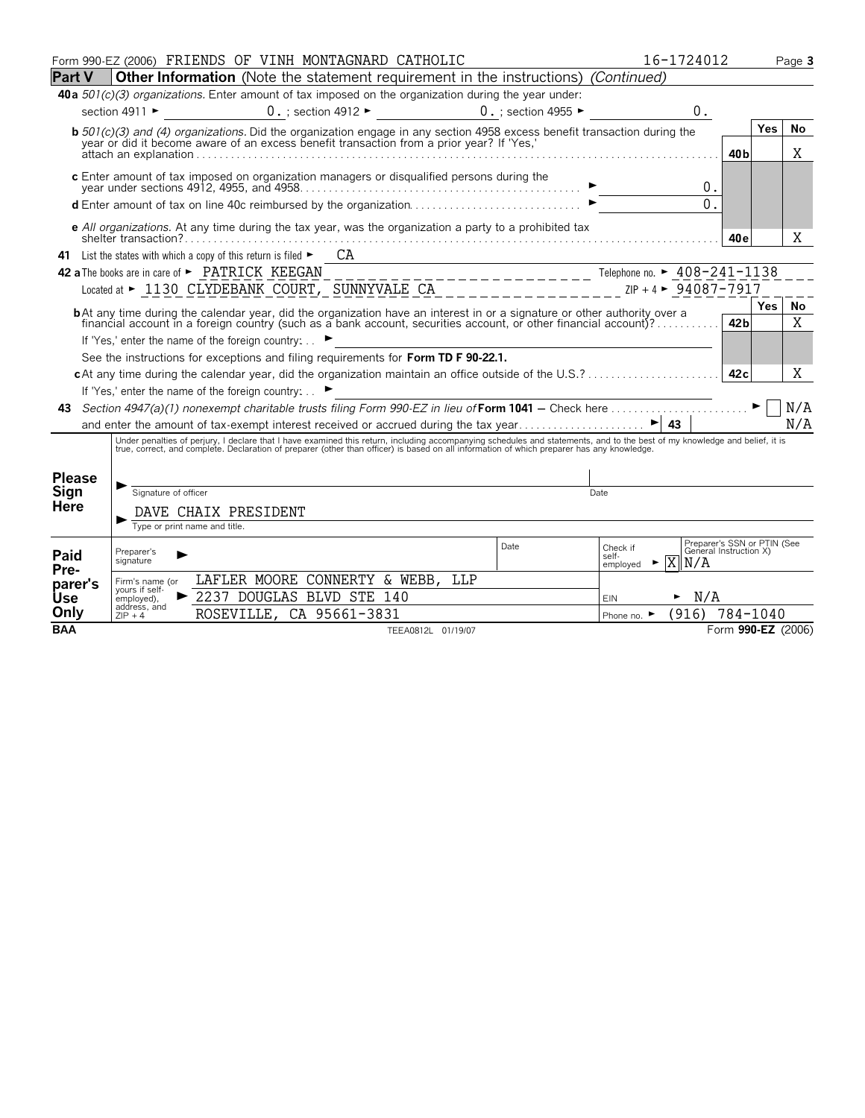|                 |                                                                                                                                                                                                                                                             | Form 990-EZ (2006) FRIENDS OF VINH MONTAGNARD CATHOLIC                                                                                                                                                                                                                                                                   |                                           |                                         | 16-1724012                                        |                                                       |            | Page 3 |  |
|-----------------|-------------------------------------------------------------------------------------------------------------------------------------------------------------------------------------------------------------------------------------------------------------|--------------------------------------------------------------------------------------------------------------------------------------------------------------------------------------------------------------------------------------------------------------------------------------------------------------------------|-------------------------------------------|-----------------------------------------|---------------------------------------------------|-------------------------------------------------------|------------|--------|--|
| <b>Part V</b>   |                                                                                                                                                                                                                                                             | <b>Other Information</b> (Note the statement requirement in the instructions) (Continued)                                                                                                                                                                                                                                |                                           |                                         |                                                   |                                                       |            |        |  |
|                 |                                                                                                                                                                                                                                                             | 40a 501(c)(3) organizations. Enter amount of tax imposed on the organization during the year under:                                                                                                                                                                                                                      |                                           |                                         |                                                   |                                                       |            |        |  |
|                 | section 4911 ►                                                                                                                                                                                                                                              |                                                                                                                                                                                                                                                                                                                          | $0.$ ; section 4912 $\blacktriangleright$ | 0. : section 4955 $\blacktriangleright$ | $0$ .                                             |                                                       |            |        |  |
|                 |                                                                                                                                                                                                                                                             | <b>b</b> $501(c)(3)$ and (4) organizations. Did the organization engage in any section 4958 excess benefit transaction during the year or did it become aware of an excess benefit transaction from a prior year? If 'Yes,'                                                                                              |                                           |                                         |                                                   |                                                       | Yes        | No     |  |
|                 |                                                                                                                                                                                                                                                             |                                                                                                                                                                                                                                                                                                                          |                                           |                                         |                                                   | 40 <sub>b</sub>                                       |            | Χ      |  |
|                 |                                                                                                                                                                                                                                                             | c Enter amount of tax imposed on organization managers or disqualified persons during the                                                                                                                                                                                                                                |                                           |                                         |                                                   |                                                       |            |        |  |
|                 |                                                                                                                                                                                                                                                             |                                                                                                                                                                                                                                                                                                                          |                                           |                                         | 0.                                                |                                                       |            |        |  |
|                 |                                                                                                                                                                                                                                                             | $\bullet$ defined and $\bullet$ and $\bullet$ and $\bullet$ and $\bullet$ and $\bullet$ and $\bullet$ and $\bullet$ and $\bullet$ and $\bullet$ and $\bullet$ and $\bullet$ defined and $\bullet$ defined and $\bullet$ defined and $\bullet$ defined and $\bullet$ defined and $\bullet$ defined and $\bullet$ defined  |                                           |                                         | $\Omega$ .                                        |                                                       |            |        |  |
|                 |                                                                                                                                                                                                                                                             | e All organizations. At any time during the tax year, was the organization a party to a prohibited tax                                                                                                                                                                                                                   |                                           |                                         |                                                   |                                                       |            |        |  |
|                 |                                                                                                                                                                                                                                                             |                                                                                                                                                                                                                                                                                                                          |                                           |                                         |                                                   | 40e                                                   |            | X      |  |
| 41              |                                                                                                                                                                                                                                                             | CA<br>List the states with which a copy of this return is filed $\blacktriangleright$                                                                                                                                                                                                                                    |                                           |                                         |                                                   |                                                       |            |        |  |
|                 |                                                                                                                                                                                                                                                             | 42 a The books are in care of ► PATRICK KEEGAN                                                                                                                                                                                                                                                                           |                                           |                                         |                                                   |                                                       |            |        |  |
|                 |                                                                                                                                                                                                                                                             |                                                                                                                                                                                                                                                                                                                          |                                           |                                         |                                                   |                                                       | <b>Yes</b> | No     |  |
|                 | <b>b</b> At any time during the calendar year, did the organization have an interest in or a signature or other authority over a<br>financial account in a foreign country (such as a bank account, securities account, or other financial account)?<br>42b |                                                                                                                                                                                                                                                                                                                          |                                           |                                         |                                                   |                                                       |            |        |  |
|                 |                                                                                                                                                                                                                                                             | If 'Yes,' enter the name of the foreign country: ▶                                                                                                                                                                                                                                                                       |                                           |                                         |                                                   |                                                       |            | X      |  |
|                 |                                                                                                                                                                                                                                                             | See the instructions for exceptions and filing requirements for Form TD F 90-22.1.                                                                                                                                                                                                                                       |                                           |                                         |                                                   |                                                       |            |        |  |
|                 |                                                                                                                                                                                                                                                             |                                                                                                                                                                                                                                                                                                                          |                                           |                                         |                                                   | 42c                                                   |            | Χ      |  |
|                 |                                                                                                                                                                                                                                                             | If 'Yes,' enter the name of the foreign country: ▶                                                                                                                                                                                                                                                                       |                                           |                                         |                                                   |                                                       |            |        |  |
|                 |                                                                                                                                                                                                                                                             |                                                                                                                                                                                                                                                                                                                          |                                           |                                         |                                                   |                                                       |            | N/A    |  |
|                 |                                                                                                                                                                                                                                                             |                                                                                                                                                                                                                                                                                                                          |                                           |                                         |                                                   |                                                       |            | N/A    |  |
|                 |                                                                                                                                                                                                                                                             | Under penalties of perjury, I declare that I have examined this return, including accompanying schedules and statements, and to the best of my knowledge and belief, it is<br>true, correct, and complete. Declaration of preparer (other than officer) is based on all information of which preparer has any knowledge. |                                           |                                         |                                                   |                                                       |            |        |  |
|                 |                                                                                                                                                                                                                                                             |                                                                                                                                                                                                                                                                                                                          |                                           |                                         |                                                   |                                                       |            |        |  |
| <b>Please</b>   | Signature of officer                                                                                                                                                                                                                                        |                                                                                                                                                                                                                                                                                                                          |                                           |                                         | Date                                              |                                                       |            |        |  |
| Sign<br>Here    |                                                                                                                                                                                                                                                             |                                                                                                                                                                                                                                                                                                                          |                                           |                                         |                                                   |                                                       |            |        |  |
|                 |                                                                                                                                                                                                                                                             | DAVE CHAIX PRESIDENT<br>Type or print name and title.                                                                                                                                                                                                                                                                    |                                           |                                         |                                                   |                                                       |            |        |  |
|                 |                                                                                                                                                                                                                                                             |                                                                                                                                                                                                                                                                                                                          |                                           | <b>Date</b>                             | Check if                                          | Preparer's SSN or PTIN (See<br>General Instruction X) |            |        |  |
| Paid            | Preparer's<br>signature                                                                                                                                                                                                                                     |                                                                                                                                                                                                                                                                                                                          |                                           |                                         | self-<br>$\overline{\text{X}}$<br>N/A<br>employed |                                                       |            |        |  |
| Pre-<br>parer's | Firm's name (or                                                                                                                                                                                                                                             | LAFLER MOORE CONNERTY & WEBB,                                                                                                                                                                                                                                                                                            | LLP                                       |                                         |                                                   |                                                       |            |        |  |
| Use             | yours if self-<br>employed),                                                                                                                                                                                                                                | 2237 DOUGLAS BLVD STE 140                                                                                                                                                                                                                                                                                                |                                           |                                         | N/A<br>►<br><b>EIN</b>                            |                                                       |            |        |  |
| Only            | address, and<br>$ZIP + 4$                                                                                                                                                                                                                                   | ROSEVILLE, CA 95661-3831<br>Phone no. $\blacktriangleright$                                                                                                                                                                                                                                                              |                                           | (916)                                   | 784-1040                                          |                                                       |            |        |  |
| <b>BAA</b>      |                                                                                                                                                                                                                                                             |                                                                                                                                                                                                                                                                                                                          | TEEA0812L 01/19/07                        |                                         |                                                   | Form 990-EZ (2006)                                    |            |        |  |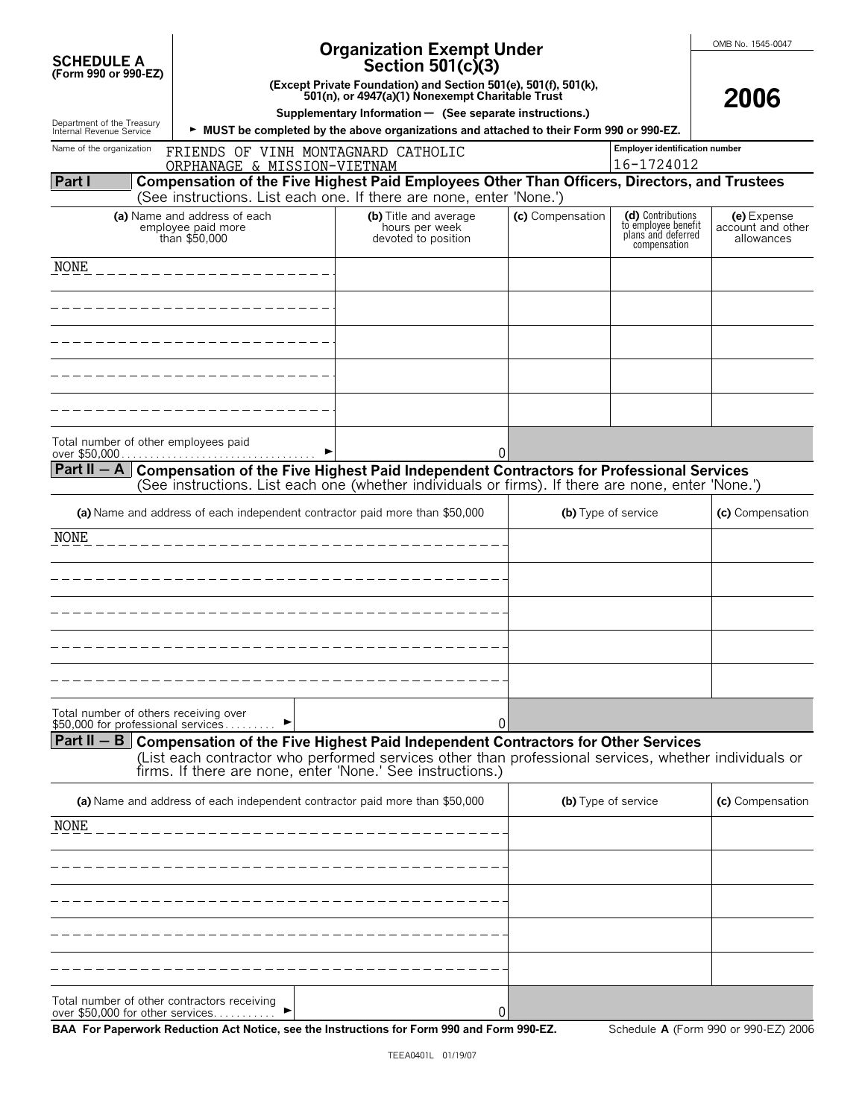|                                                        |                                                                                                                                                                                               | <b>Organization Exempt Under</b>                                                                                    |                  |                                                                                | OMB No. 1545-0047                              |
|--------------------------------------------------------|-----------------------------------------------------------------------------------------------------------------------------------------------------------------------------------------------|---------------------------------------------------------------------------------------------------------------------|------------------|--------------------------------------------------------------------------------|------------------------------------------------|
| <b>SCHEDULE A</b><br>(Form 990 or 990-EZ)              |                                                                                                                                                                                               | Section 501(c)(3)                                                                                                   |                  |                                                                                |                                                |
|                                                        |                                                                                                                                                                                               | (Except Private Foundation) and Section 501(e), 501(f), 501(k),<br>501(n), or 4947(a)(1) Nonexempt Charitable Trust |                  |                                                                                | 2006                                           |
|                                                        |                                                                                                                                                                                               | Supplementary Information - (See separate instructions.)                                                            |                  |                                                                                |                                                |
| Department of the Treasury<br>Internal Revenue Service |                                                                                                                                                                                               | MUST be completed by the above organizations and attached to their Form 990 or 990-EZ.                              |                  |                                                                                |                                                |
| Name of the organization                               | FRIENDS OF VINH MONTAGNARD CATHOLIC<br>ORPHANAGE & MISSION-VIETNAM                                                                                                                            |                                                                                                                     |                  | <b>Employer identification number</b><br>16-1724012                            |                                                |
| Part I                                                 | Compensation of the Five Highest Paid Employees Other Than Officers, Directors, and Trustees                                                                                                  |                                                                                                                     |                  |                                                                                |                                                |
|                                                        | (See instructions. List each one. If there are none, enter 'None.')                                                                                                                           |                                                                                                                     |                  |                                                                                |                                                |
|                                                        | (a) Name and address of each<br>employee paid more<br>than \$50,000                                                                                                                           | (b) Title and average<br>hours per week<br>devoted to position                                                      | (c) Compensation | (d) Contributions<br>to employee benefit<br>plans and deferred<br>compensation | (e) Expense<br>account and other<br>allowances |
| NONE                                                   |                                                                                                                                                                                               |                                                                                                                     |                  |                                                                                |                                                |
|                                                        |                                                                                                                                                                                               |                                                                                                                     |                  |                                                                                |                                                |
|                                                        |                                                                                                                                                                                               |                                                                                                                     |                  |                                                                                |                                                |
|                                                        |                                                                                                                                                                                               |                                                                                                                     |                  |                                                                                |                                                |
|                                                        |                                                                                                                                                                                               |                                                                                                                     |                  |                                                                                |                                                |
|                                                        |                                                                                                                                                                                               |                                                                                                                     |                  |                                                                                |                                                |
|                                                        |                                                                                                                                                                                               |                                                                                                                     |                  |                                                                                |                                                |
| Total number of other employees paid                   | over \$50,000                                                                                                                                                                                 | 0                                                                                                                   |                  |                                                                                |                                                |
| Part II $-$ A                                          | Compensation of the Five Highest Paid Independent Contractors for Professional Services<br>(See instructions. List each one (whether individuals or firms). If there are none, enter 'None.') |                                                                                                                     |                  |                                                                                |                                                |
|                                                        | (a) Name and address of each independent contractor paid more than \$50,000                                                                                                                   |                                                                                                                     |                  | (b) Type of service                                                            | (c) Compensation                               |
| NONE                                                   |                                                                                                                                                                                               |                                                                                                                     |                  |                                                                                |                                                |
|                                                        |                                                                                                                                                                                               |                                                                                                                     |                  |                                                                                |                                                |
|                                                        |                                                                                                                                                                                               |                                                                                                                     |                  |                                                                                |                                                |
|                                                        |                                                                                                                                                                                               |                                                                                                                     |                  |                                                                                |                                                |
|                                                        |                                                                                                                                                                                               |                                                                                                                     |                  |                                                                                |                                                |
|                                                        |                                                                                                                                                                                               |                                                                                                                     |                  |                                                                                |                                                |
|                                                        |                                                                                                                                                                                               |                                                                                                                     |                  |                                                                                |                                                |
| Total number of others receiving over                  | \$50,000 for professional services                                                                                                                                                            | 0                                                                                                                   |                  |                                                                                |                                                |
|                                                        | Part II $-$ B Compensation of the Five Highest Paid Independent Contractors for Other Services                                                                                                |                                                                                                                     |                  |                                                                                |                                                |
|                                                        | (List each contractor who performed services other than professional services, whether individuals or<br>firms. If there are none, enter 'None.' See instructions.)                           |                                                                                                                     |                  |                                                                                |                                                |
|                                                        | (a) Name and address of each independent contractor paid more than \$50,000                                                                                                                   |                                                                                                                     |                  | (b) Type of service                                                            | (c) Compensation                               |
| NONE                                                   |                                                                                                                                                                                               |                                                                                                                     |                  |                                                                                |                                                |
|                                                        |                                                                                                                                                                                               |                                                                                                                     |                  |                                                                                |                                                |
|                                                        |                                                                                                                                                                                               |                                                                                                                     |                  |                                                                                |                                                |
|                                                        |                                                                                                                                                                                               |                                                                                                                     |                  |                                                                                |                                                |
|                                                        |                                                                                                                                                                                               |                                                                                                                     |                  |                                                                                |                                                |
|                                                        |                                                                                                                                                                                               |                                                                                                                     |                  |                                                                                |                                                |
|                                                        | Total number of other contractors receiving<br>over \$50,000 for other services                                                                                                               | 0                                                                                                                   |                  |                                                                                |                                                |

**BAA For Paperwork Reduction Act Notice, see the Instructions for Form 990 and Form 990-EZ.** Schedule **A** (Form 990 or 990-EZ) 2006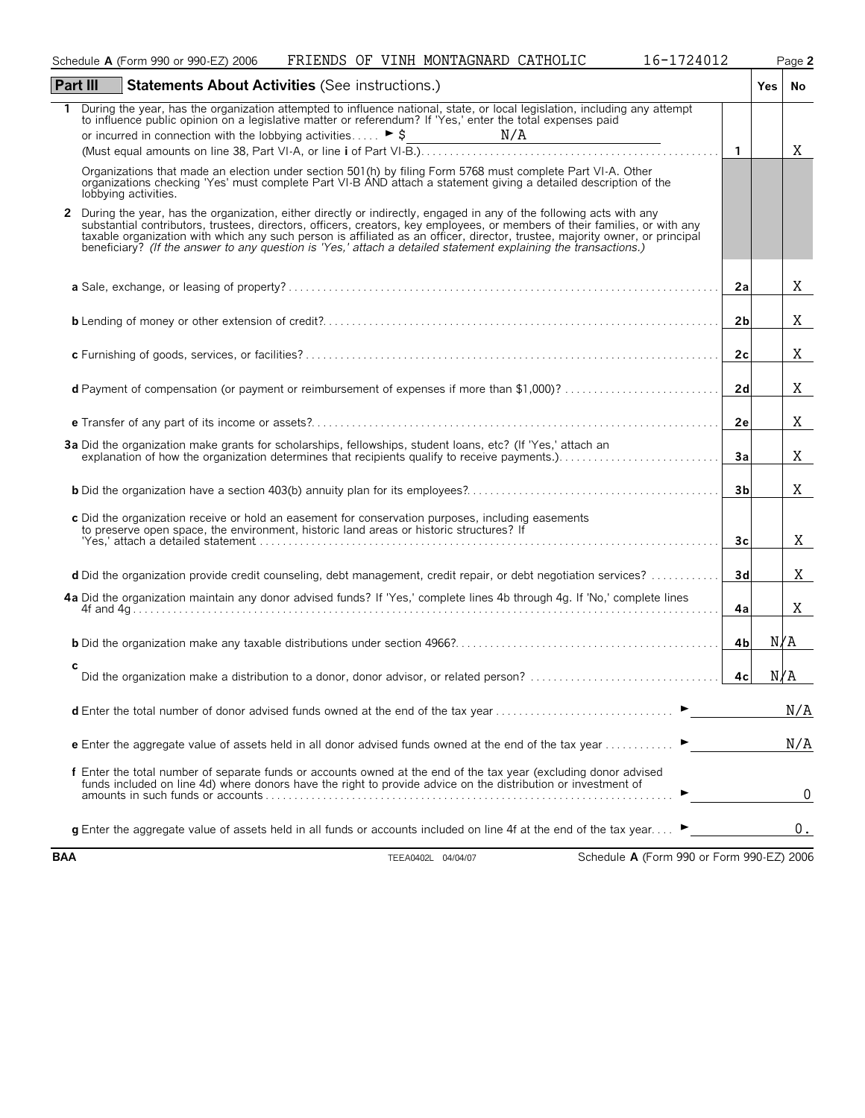|            | FRIENDS OF VINH MONTAGNARD CATHOLIC<br>16-1724012<br>Schedule A (Form 990 or 990-EZ) 2006                                                                                                                                                                                                                                                                                                                                                                                                             |                | Page 2 |
|------------|-------------------------------------------------------------------------------------------------------------------------------------------------------------------------------------------------------------------------------------------------------------------------------------------------------------------------------------------------------------------------------------------------------------------------------------------------------------------------------------------------------|----------------|--------|
|            | Part III<br><b>Statements About Activities (See instructions.)</b>                                                                                                                                                                                                                                                                                                                                                                                                                                    |                | Yes No |
| 1.         | During the year, has the organization attempted to influence national, state, or local legislation, including any attempt<br>to influence public opinion on a legislative matter or referendum? If 'Yes,' enter the total expenses paid                                                                                                                                                                                                                                                               |                |        |
|            |                                                                                                                                                                                                                                                                                                                                                                                                                                                                                                       | $\overline{1}$ | Χ      |
|            | Organizations that made an election under section 501(h) by filing Form 5768 must complete Part VI-A. Other<br>organizations checking 'Yes' must complete Part VI-B AND attach a statement giving a detailed description of the<br>lobbying activities.                                                                                                                                                                                                                                               |                |        |
| 2          | During the year, has the organization, either directly or indirectly, engaged in any of the following acts with any<br>substantial contributors, trustees, directors, officers, creators, key employees, or members of their families, or with any<br>taxable organization with which any such person is affiliated as an officer, director, trustee, majority owner, or principal<br>beneficiary? (If the answer to any question is 'Yes,' attach a detailed statement explaining the transactions.) |                |        |
|            |                                                                                                                                                                                                                                                                                                                                                                                                                                                                                                       | 2a             | Χ      |
|            |                                                                                                                                                                                                                                                                                                                                                                                                                                                                                                       | 2 <sub>b</sub> | Χ      |
|            |                                                                                                                                                                                                                                                                                                                                                                                                                                                                                                       | 2 <sub>c</sub> | Χ      |
|            | d Payment of compensation (or payment or reimbursement of expenses if more than \$1,000)?                                                                                                                                                                                                                                                                                                                                                                                                             | 2d             | Χ      |
|            |                                                                                                                                                                                                                                                                                                                                                                                                                                                                                                       | 2e             | Χ      |
|            | 3a Did the organization make grants for scholarships, fellowships, student loans, etc? (If 'Yes,' attach an<br>explanation of how the organization determines that recipients qualify to receive payments.)                                                                                                                                                                                                                                                                                           | 3a             | X      |
|            |                                                                                                                                                                                                                                                                                                                                                                                                                                                                                                       | 3 <sub>b</sub> | X      |
|            | c Did the organization receive or hold an easement for conservation purposes, including easements<br>to preserve open space, the environment, historic land areas or historic structures? If                                                                                                                                                                                                                                                                                                          | 3 <sub>c</sub> | Χ      |
|            | d Did the organization provide credit counseling, debt management, credit repair, or debt negotiation services?                                                                                                                                                                                                                                                                                                                                                                                       | 3d             | Χ      |
|            | 4a Did the organization maintain any donor advised funds? If 'Yes,' complete lines 4b through 4g. If 'No,' complete lines                                                                                                                                                                                                                                                                                                                                                                             | 4a             | X      |
|            |                                                                                                                                                                                                                                                                                                                                                                                                                                                                                                       | 4bl            | N/A    |
|            | с                                                                                                                                                                                                                                                                                                                                                                                                                                                                                                     | 4c             | N/A    |
|            | <b>d</b> Enter the total number of donor advised funds owned at the end of the tax year                                                                                                                                                                                                                                                                                                                                                                                                               |                | N/A    |
|            | <b>e</b> Enter the aggregate value of assets held in all donor advised funds owned at the end of the tax year $\ldots$                                                                                                                                                                                                                                                                                                                                                                                |                | N/A    |
|            | f Enter the total number of separate funds or accounts owned at the end of the tax year (excluding donor advised<br>funds included on line 4d) where donors have the right to provide advice on the distribution or investment of                                                                                                                                                                                                                                                                     |                | 0      |
|            | <b>q</b> Enter the aggregate value of assets held in all funds or accounts included on line 4f at the end of the tax year                                                                                                                                                                                                                                                                                                                                                                             |                | 0.     |
| <b>BAA</b> | Schedule A (Form 990 or Form 990-EZ) 2006<br>TEEA0402L 04/04/07                                                                                                                                                                                                                                                                                                                                                                                                                                       |                |        |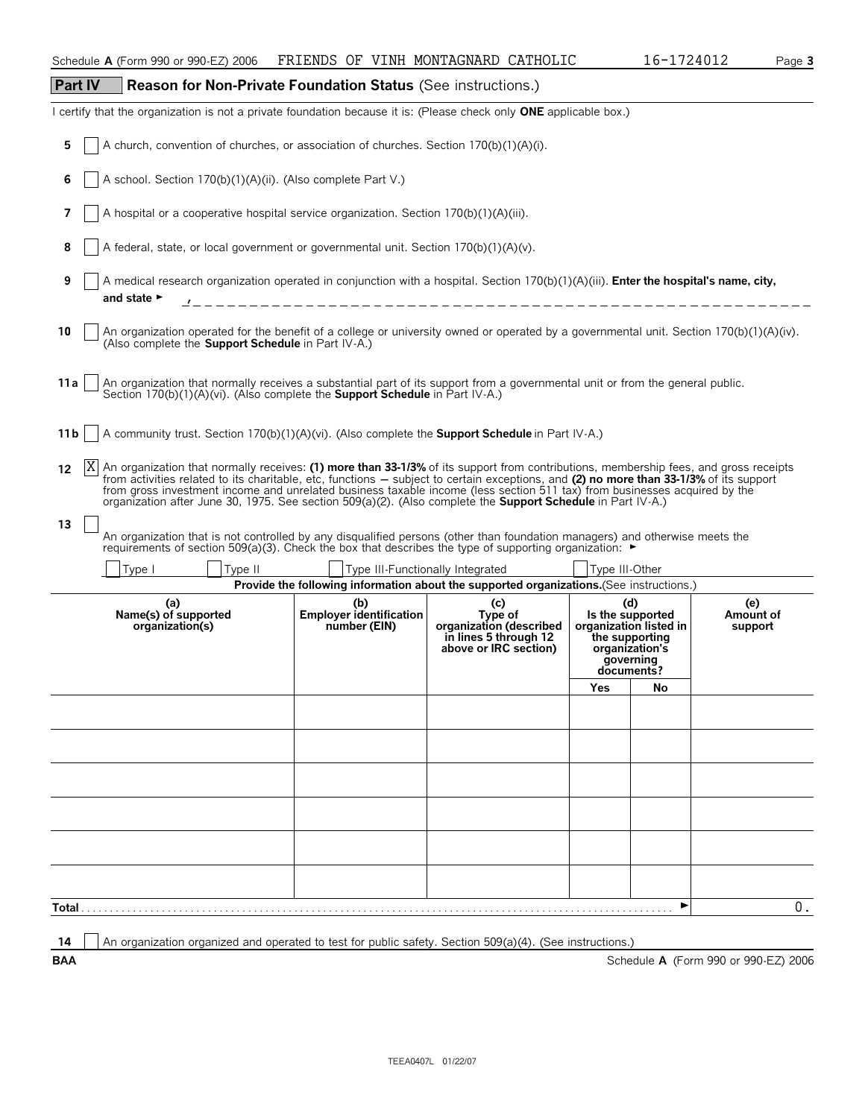| <b>Part IV</b>   | Reason for Non-Private Foundation Status (See instructions.)                                                                                                                                                                                                                                                                                                                                                                                                                                                                      |                                                       |                                                                                             |                                                                                                      |                              |                                      |
|------------------|-----------------------------------------------------------------------------------------------------------------------------------------------------------------------------------------------------------------------------------------------------------------------------------------------------------------------------------------------------------------------------------------------------------------------------------------------------------------------------------------------------------------------------------|-------------------------------------------------------|---------------------------------------------------------------------------------------------|------------------------------------------------------------------------------------------------------|------------------------------|--------------------------------------|
|                  | I certify that the organization is not a private foundation because it is: (Please check only ONE applicable box.)                                                                                                                                                                                                                                                                                                                                                                                                                |                                                       |                                                                                             |                                                                                                      |                              |                                      |
| 5                | A church, convention of churches, or association of churches. Section 170(b)(1)(A)(i).                                                                                                                                                                                                                                                                                                                                                                                                                                            |                                                       |                                                                                             |                                                                                                      |                              |                                      |
| 6                | A school. Section 170(b)(1)(A)(ii). (Also complete Part V.)                                                                                                                                                                                                                                                                                                                                                                                                                                                                       |                                                       |                                                                                             |                                                                                                      |                              |                                      |
| 7                | A hospital or a cooperative hospital service organization. Section 170(b)(1)(A)(iii).                                                                                                                                                                                                                                                                                                                                                                                                                                             |                                                       |                                                                                             |                                                                                                      |                              |                                      |
| 8                | A federal, state, or local government or governmental unit. Section 170(b)(1)(A)(v).                                                                                                                                                                                                                                                                                                                                                                                                                                              |                                                       |                                                                                             |                                                                                                      |                              |                                      |
| 9                | A medical research organization operated in conjunction with a hospital. Section 170(b)(1)(A)(iii). Enter the hospital's name, city,<br>and state $\blacktriangleright$                                                                                                                                                                                                                                                                                                                                                           |                                                       | ________________________________                                                            |                                                                                                      |                              |                                      |
| 10               | An organization operated for the benefit of a college or university owned or operated by a governmental unit. Section 170(b)(1)(A)(iv).<br>(Also complete the Support Schedule in Part IV-A.)                                                                                                                                                                                                                                                                                                                                     |                                                       |                                                                                             |                                                                                                      |                              |                                      |
| 11 a             | An organization that normally receives a substantial part of its support from a governmental unit or from the general public.<br>Section 170(b)(1)(A)(vi). (Also complete the <b>Support Schedule</b> in Part IV-A.)                                                                                                                                                                                                                                                                                                              |                                                       |                                                                                             |                                                                                                      |                              |                                      |
| 11 b             | A community trust. Section 170(b)(1)(A)(vi). (Also complete the <b>Support Schedule</b> in Part IV-A.)                                                                                                                                                                                                                                                                                                                                                                                                                            |                                                       |                                                                                             |                                                                                                      |                              |                                      |
| X<br>12          | An organization that normally receives: (1) more than 33-1/3% of its support from contributions, membership fees, and gross receipts<br>from activities related to its charitable, etc, functions – subject to certain exceptions, and (2) no more than 33-1/3% of its support<br>from gross investment income and unrelated business taxable income (less section 511 tax) from businesses acquired by the<br>organization after June 30, 1975. See section 509(a)(2). (Also complete the <b>Support Schedule</b> in Part IV-A.) |                                                       |                                                                                             |                                                                                                      |                              |                                      |
| 13               | An organization that is not controlled by any disqualified persons (other than foundation managers) and otherwise meets the requirements of section 509(a)(3). Check the box that describes the type of supporting organizati                                                                                                                                                                                                                                                                                                     |                                                       |                                                                                             |                                                                                                      |                              |                                      |
|                  | Type II<br>Type I                                                                                                                                                                                                                                                                                                                                                                                                                                                                                                                 |                                                       | Type III-Functionally Integrated                                                            | Type III-Other                                                                                       |                              |                                      |
|                  |                                                                                                                                                                                                                                                                                                                                                                                                                                                                                                                                   |                                                       | Provide the following information about the supported organizations. (See instructions.)    |                                                                                                      |                              |                                      |
|                  | (a)<br>Name(s) of supported<br>organization(s)                                                                                                                                                                                                                                                                                                                                                                                                                                                                                    | (b)<br><b>Employer identification</b><br>number (EIN) | (c)<br>Type of<br>organization (described<br>in lines 5 through 12<br>above or IRC section) | (d)<br>Is the supported<br>the supporting<br>organization's<br>governing<br>documents?<br><b>Yes</b> | organization listed in<br>No | (e)<br>Amount of<br>support          |
|                  |                                                                                                                                                                                                                                                                                                                                                                                                                                                                                                                                   |                                                       |                                                                                             |                                                                                                      |                              |                                      |
|                  |                                                                                                                                                                                                                                                                                                                                                                                                                                                                                                                                   |                                                       |                                                                                             |                                                                                                      |                              |                                      |
|                  |                                                                                                                                                                                                                                                                                                                                                                                                                                                                                                                                   |                                                       |                                                                                             |                                                                                                      |                              |                                      |
|                  |                                                                                                                                                                                                                                                                                                                                                                                                                                                                                                                                   |                                                       |                                                                                             |                                                                                                      |                              |                                      |
|                  |                                                                                                                                                                                                                                                                                                                                                                                                                                                                                                                                   |                                                       |                                                                                             |                                                                                                      |                              |                                      |
|                  |                                                                                                                                                                                                                                                                                                                                                                                                                                                                                                                                   |                                                       |                                                                                             |                                                                                                      |                              |                                      |
|                  |                                                                                                                                                                                                                                                                                                                                                                                                                                                                                                                                   |                                                       |                                                                                             |                                                                                                      |                              |                                      |
|                  |                                                                                                                                                                                                                                                                                                                                                                                                                                                                                                                                   |                                                       |                                                                                             |                                                                                                      |                              |                                      |
| Total .          |                                                                                                                                                                                                                                                                                                                                                                                                                                                                                                                                   |                                                       |                                                                                             |                                                                                                      |                              | $0$ .                                |
|                  | An organization organized and operated to test for public safety. Section 509(a)(4). (See instructions.)                                                                                                                                                                                                                                                                                                                                                                                                                          |                                                       |                                                                                             |                                                                                                      |                              |                                      |
| 14<br><b>BAA</b> |                                                                                                                                                                                                                                                                                                                                                                                                                                                                                                                                   |                                                       |                                                                                             |                                                                                                      |                              | Schedule A (Form 990 or 990-EZ) 2006 |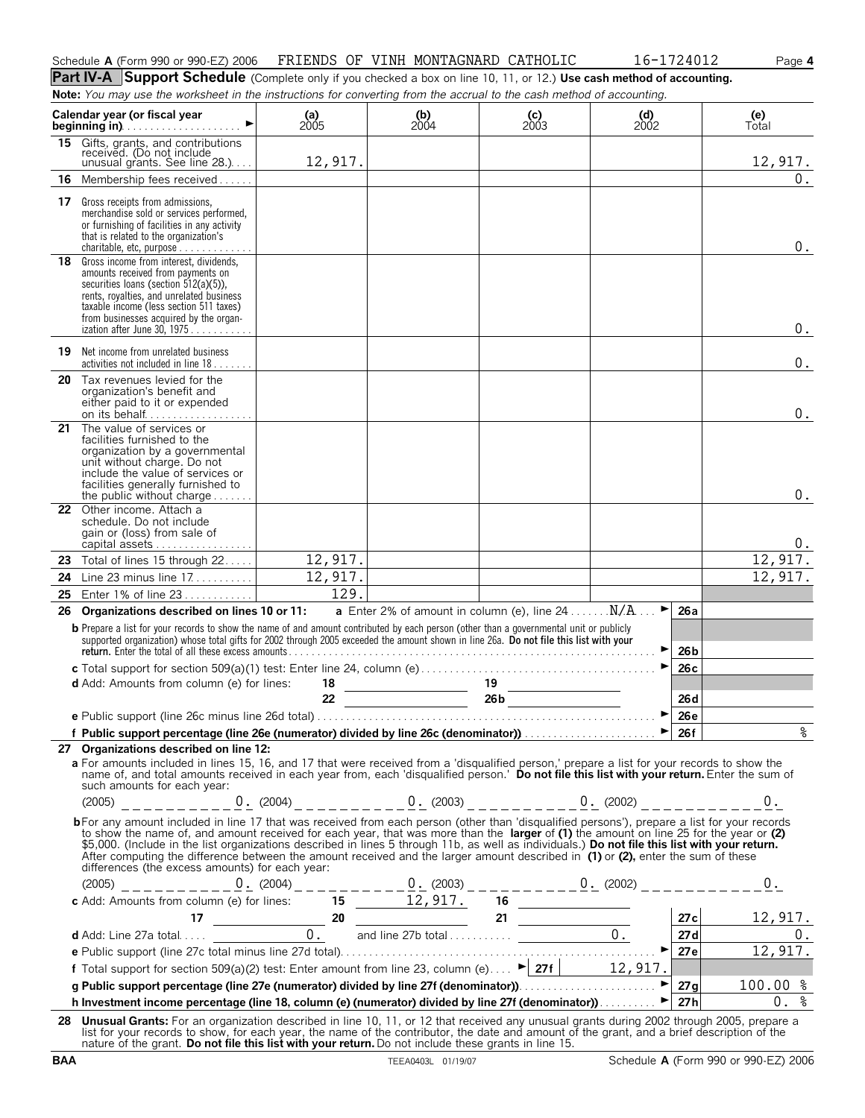| Schedule<br>A (Form | 2006<br>1990 or 990-EZ | :RIENDS<br>FR | ΟF<br>V. | MONTAGNARD<br>TNH . | CATHOLIC | 34012 | -aae 4 |
|---------------------|------------------------|---------------|----------|---------------------|----------|-------|--------|
|                     |                        |               |          |                     |          |       |        |

**Part IV-A** Support Schedule (Complete only if you checked a box on line 10, 11, or 12.) Use cash method of accounting. **Note:** *You may use the worksheet in the instructions for converting from the accrual to the cash method of accounting.*

|    | ase are monitored in the instructions for converting non-the accruar to the cash inclined                                                                                                                                                                                                                                                                                                                                                                                                                                                                                  |               |                                                     |                                                              |                                                          |                 |              |
|----|----------------------------------------------------------------------------------------------------------------------------------------------------------------------------------------------------------------------------------------------------------------------------------------------------------------------------------------------------------------------------------------------------------------------------------------------------------------------------------------------------------------------------------------------------------------------------|---------------|-----------------------------------------------------|--------------------------------------------------------------|----------------------------------------------------------|-----------------|--------------|
|    | Calendar year (or fiscal year<br>$\blacktriangleright$<br>beginning in)                                                                                                                                                                                                                                                                                                                                                                                                                                                                                                    | (a)<br>$2005$ | $\begin{array}{c} \textbf{(b)} \\ 2004 \end{array}$ | $\begin{array}{c} \textbf{(c)} \\ \textbf{2003} \end{array}$ | $\begin{array}{c} \text{(d)} \\ \text{2002} \end{array}$ |                 | (e)<br>Total |
| 15 | Gifts, grants, and contributions<br>received. (Do not include<br>unusual grants. See line $28$ .)                                                                                                                                                                                                                                                                                                                                                                                                                                                                          | 12,917.       |                                                     |                                                              |                                                          |                 | 12,917.      |
| 16 | Membership fees received                                                                                                                                                                                                                                                                                                                                                                                                                                                                                                                                                   |               |                                                     |                                                              |                                                          |                 | 0.           |
|    | <b>17</b> Gross receipts from admissions,<br>merchandise sold or services performed,<br>or furnishing of facilities in any activity<br>that is related to the organization's<br>charitable, etc, purpose                                                                                                                                                                                                                                                                                                                                                                   |               |                                                     |                                                              |                                                          |                 | $0$ .        |
|    | 18 Gross income from interest, dividends,<br>amounts received from payments on<br>securities loans (section 512(a)(5)).<br>rents, royalties, and unrelated business<br>taxable income (less section 511 taxes)<br>from businesses acquired by the organ-<br>ization after June 30, 1975.                                                                                                                                                                                                                                                                                   |               |                                                     |                                                              |                                                          |                 | $0$ .        |
|    | <b>19</b> Net income from unrelated business<br>activities not included in line $18$                                                                                                                                                                                                                                                                                                                                                                                                                                                                                       |               |                                                     |                                                              |                                                          |                 | 0.           |
| 20 | Tax revenues levied for the<br>organization's benefit and<br>either paid to it or expended                                                                                                                                                                                                                                                                                                                                                                                                                                                                                 |               |                                                     |                                                              |                                                          |                 | $0$ .        |
| 21 | The value of services or<br>facilities furnished to the<br>organization by a governmental<br>unit without charge. Do not<br>include the value of services or<br>facilities generally furnished to<br>the public without charge $\ldots \ldots$                                                                                                                                                                                                                                                                                                                             |               |                                                     |                                                              |                                                          |                 | 0.           |
|    | 22 Other income. Attach a<br>schedule. Do not include<br>gain or (loss) from sale of<br>capital assets                                                                                                                                                                                                                                                                                                                                                                                                                                                                     |               |                                                     |                                                              |                                                          |                 | 0.           |
| 23 | Total of lines 15 through 22                                                                                                                                                                                                                                                                                                                                                                                                                                                                                                                                               | 12,917.       |                                                     | <u> Listen de la componenta</u> de la compo                  |                                                          |                 | 12,917.      |
| 24 | Line 23 minus line 17.                                                                                                                                                                                                                                                                                                                                                                                                                                                                                                                                                     | 12,917.       |                                                     |                                                              |                                                          |                 | 12,917.      |
| 25 | Enter 1% of line 23                                                                                                                                                                                                                                                                                                                                                                                                                                                                                                                                                        | 129.          |                                                     |                                                              |                                                          |                 |              |
| 26 | Organizations described on lines 10 or 11:                                                                                                                                                                                                                                                                                                                                                                                                                                                                                                                                 |               |                                                     | <b>a</b> Enter 2% of amount in column (e), line $24$ $N/A$   | ▸                                                        | 26a             |              |
|    | <b>b</b> Prepare a list for your records to show the name of and amount contributed by each person (other than a governmental unit or publicly<br>supported organization) whose total gifts for 2002 through 2005 exceeded the amount shown in line 26a. Do not file this list with your                                                                                                                                                                                                                                                                                   |               |                                                     |                                                              |                                                          | 26 b            |              |
|    |                                                                                                                                                                                                                                                                                                                                                                                                                                                                                                                                                                            |               |                                                     |                                                              |                                                          | 26c             |              |
|    | <b>d</b> Add: Amounts from column (e) for lines:                                                                                                                                                                                                                                                                                                                                                                                                                                                                                                                           |               |                                                     | $\frac{18}{22}$ $\frac{19}{266}$                             |                                                          | 26 <sub>d</sub> |              |
|    |                                                                                                                                                                                                                                                                                                                                                                                                                                                                                                                                                                            |               |                                                     |                                                              | ▶                                                        | 26e             |              |
|    |                                                                                                                                                                                                                                                                                                                                                                                                                                                                                                                                                                            |               |                                                     |                                                              |                                                          |                 |              |
|    | 27 Organizations described on line 12:<br>a For amounts included in lines 15, 16, and 17 that were received from a 'disqualified person,' prepare a list for your records to show the<br>name of, and total amounts received in each year from, each 'disqualified person.' Do not file this list with your return. Enter the sum of<br>such amounts for each year:<br>$(2005)$ ___________0. $(2004)$ _ _ _ _ _ _ _ 0. $(2003)$ _ _ _ _ _ _ _ _ 0. $(2002)$ _ _ _ _ _ _ _ _ _ 0.                                                                                          |               |                                                     |                                                              |                                                          |                 |              |
|    | bFor any amount included in line 17 that was received from each person (other than 'disqualified persons'), prepare a list for your records<br>to show the name of, and amount received for each year, that was more than the larger of (1) the amount on line 25 for the year or (2) \$5,000. (Include in the list organizations described in lines 5 through 11b, as well as<br>After computing the difference between the amount received and the larger amount described in $(1)$ or $(2)$ , enter the sum of these<br>differences (the excess amounts) for each year: |               |                                                     |                                                              |                                                          |                 |              |
|    |                                                                                                                                                                                                                                                                                                                                                                                                                                                                                                                                                                            |               |                                                     |                                                              |                                                          |                 |              |
|    |                                                                                                                                                                                                                                                                                                                                                                                                                                                                                                                                                                            |               |                                                     |                                                              |                                                          |                 |              |
|    |                                                                                                                                                                                                                                                                                                                                                                                                                                                                                                                                                                            |               |                                                     |                                                              |                                                          |                 |              |
|    |                                                                                                                                                                                                                                                                                                                                                                                                                                                                                                                                                                            |               |                                                     |                                                              |                                                          |                 |              |
|    |                                                                                                                                                                                                                                                                                                                                                                                                                                                                                                                                                                            |               |                                                     |                                                              |                                                          |                 |              |
|    |                                                                                                                                                                                                                                                                                                                                                                                                                                                                                                                                                                            |               |                                                     |                                                              |                                                          |                 |              |
|    | h Investment income percentage (line 18, column (e) (numerator) divided by line 27f (denominator)).                                                                                                                                                                                                                                                                                                                                                                                                                                                                        |               |                                                     |                                                              |                                                          |                 | $0.$ %       |
|    | 28 Unusual Grants: For an organization described in line 10, 11, or 12 that received any unusual grants during 2002 through 2005, prepare a                                                                                                                                                                                                                                                                                                                                                                                                                                |               |                                                     |                                                              |                                                          |                 |              |
|    | list for your records to show, for each year, the name of the contributor, the date and amount of the grant, and a brief description of the<br>nature of the grant. Do not file this list with your return. Do not include these grants in line 15.                                                                                                                                                                                                                                                                                                                        |               |                                                     |                                                              |                                                          |                 |              |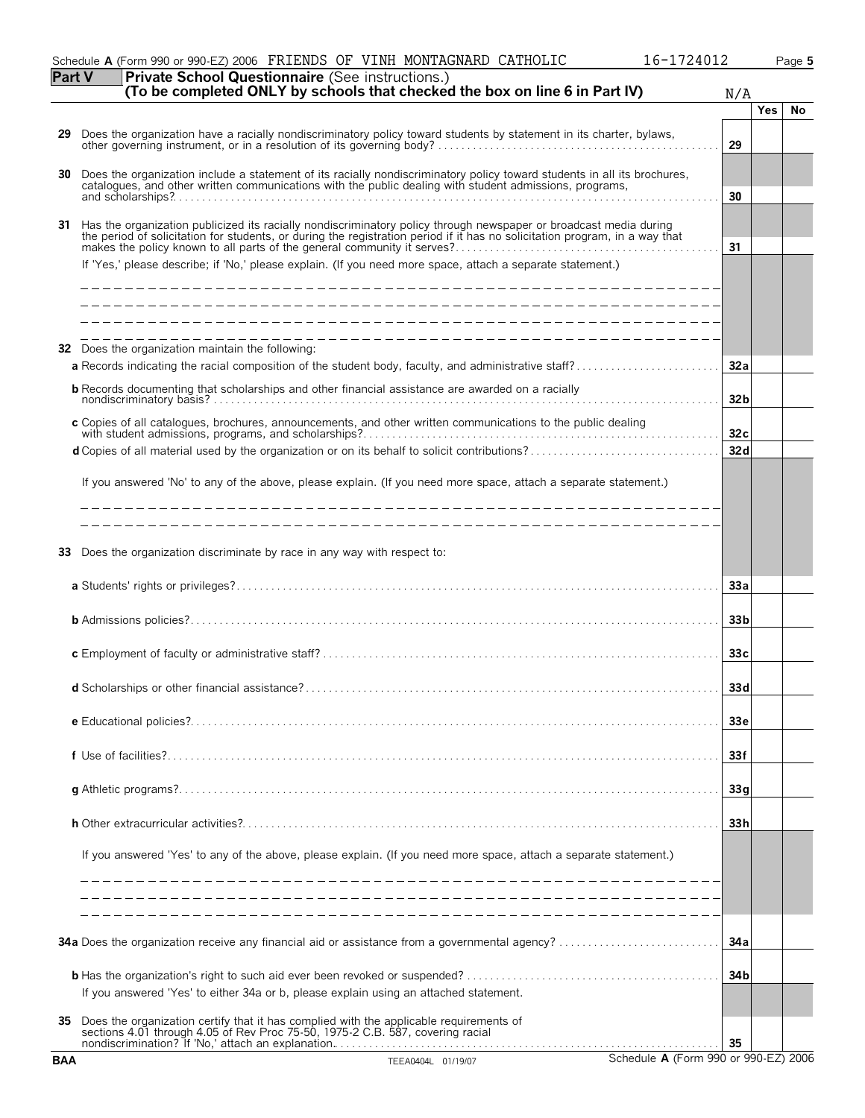|            | Schedule A (Form 990 or 990-EZ) 2006 FRIENDS OF VINH MONTAGNARD CATHOLIC                                                                                                                                                                         | 16-1724012                           |            | Page 5 |
|------------|--------------------------------------------------------------------------------------------------------------------------------------------------------------------------------------------------------------------------------------------------|--------------------------------------|------------|--------|
| Part V     | Private School Questionnaire (See instructions.)<br>(To be completed ONLY by schools that checked the box on line 6 in Part IV)                                                                                                                  | N/A                                  |            |        |
|            |                                                                                                                                                                                                                                                  |                                      | <b>Yes</b> | No     |
| 29         | Does the organization have a racially nondiscriminatory policy toward students by statement in its charter, bylaws, other governing instrument, or in a resolution of its governing body?                                                        | 29                                   |            |        |
| 30         | Does the organization include a statement of its racially nondiscriminatory policy toward students in all its brochures, catalogues, and other written communications with the public dealing with student admissions, program                   | 30                                   |            |        |
| 31         | Has the organization publicized its racially nondiscriminatory policy through newspaper or broadcast media during<br>the period of solicitation for students, or during the registration period if it has no solicitation program, in a way that |                                      |            |        |
|            | If 'Yes,' please describe; if 'No,' please explain. (If you need more space, attach a separate statement.)                                                                                                                                       | 31                                   |            |        |
|            |                                                                                                                                                                                                                                                  |                                      |            |        |
| 32         | _________________________________<br>Does the organization maintain the following:                                                                                                                                                               | 32a                                  |            |        |
|            | <b>b</b> Records documenting that scholarships and other financial assistance are awarded on a racially                                                                                                                                          |                                      |            |        |
|            |                                                                                                                                                                                                                                                  | 32 <sub>b</sub>                      |            |        |
|            | c Copies of all catalogues, brochures, announcements, and other written communications to the public dealing                                                                                                                                     | 32c                                  |            |        |
|            |                                                                                                                                                                                                                                                  | 32d                                  |            |        |
|            | If you answered 'No' to any of the above, please explain. (If you need more space, attach a separate statement.)                                                                                                                                 |                                      |            |        |
|            | __________________________________                                                                                                                                                                                                               |                                      |            |        |
| 33         | Does the organization discriminate by race in any way with respect to:                                                                                                                                                                           |                                      |            |        |
|            |                                                                                                                                                                                                                                                  | 33a                                  |            |        |
|            |                                                                                                                                                                                                                                                  | 33 <sub>b</sub>                      |            |        |
|            |                                                                                                                                                                                                                                                  | 33 <sub>c</sub>                      |            |        |
|            | <b>d</b> Scholarships or other financial assistance?                                                                                                                                                                                             | 33d                                  |            |        |
|            |                                                                                                                                                                                                                                                  | 33e                                  |            |        |
|            |                                                                                                                                                                                                                                                  | 33f                                  |            |        |
|            |                                                                                                                                                                                                                                                  | 33q                                  |            |        |
|            |                                                                                                                                                                                                                                                  | 33h                                  |            |        |
|            | If you answered 'Yes' to any of the above, please explain. (If you need more space, attach a separate statement.)                                                                                                                                |                                      |            |        |
|            |                                                                                                                                                                                                                                                  |                                      |            |        |
|            |                                                                                                                                                                                                                                                  | 34a                                  |            |        |
|            | If you answered 'Yes' to either 34a or b, please explain using an attached statement.                                                                                                                                                            | 34 <sub>b</sub>                      |            |        |
| 35         | Does the organization certify that it has complied with the applicable requirements of sections 4.01 through 4.05 of Rev Proc 75-50, 1975-2 C.B. 587, covering racial                                                                            | 35                                   |            |        |
| <b>BAA</b> | TEEA0404L 01/19/07                                                                                                                                                                                                                               | Schedule A (Form 990 or 990-EZ) 2006 |            |        |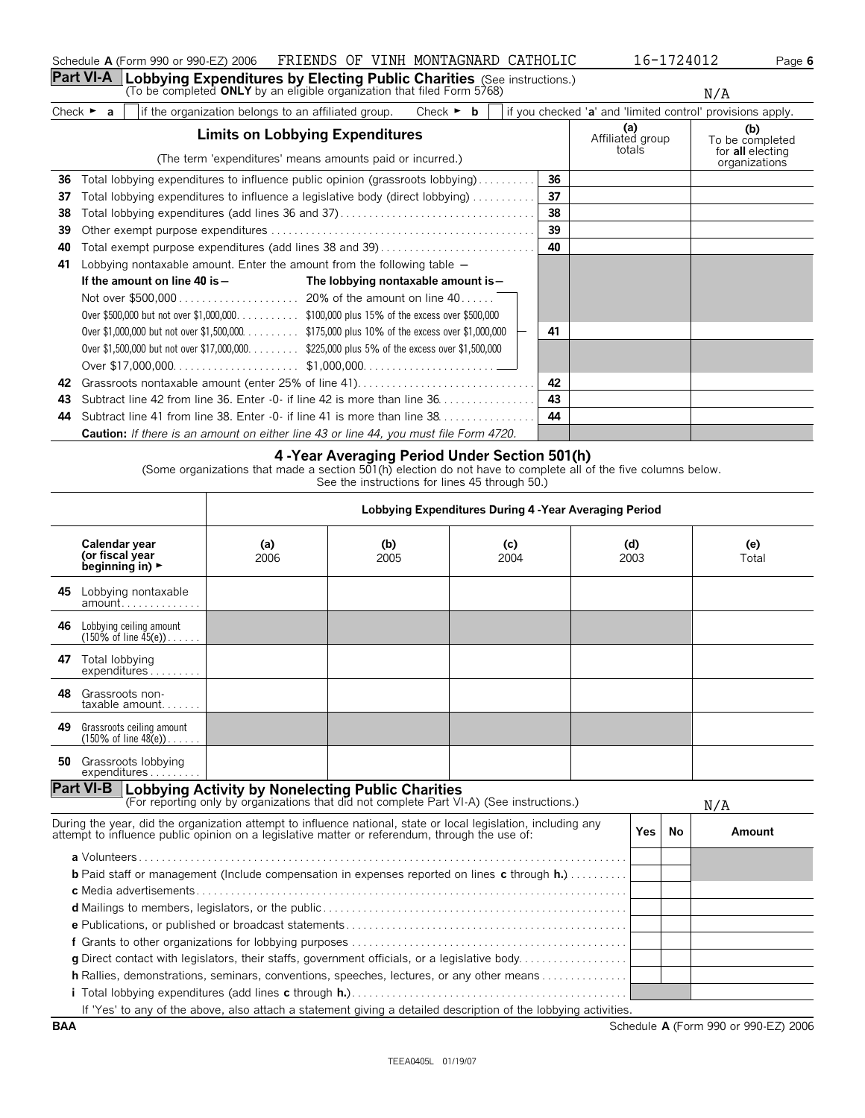|                                                                                                                                                                           | $taxable$ amount                                              |  |  |  |  |     |
|---------------------------------------------------------------------------------------------------------------------------------------------------------------------------|---------------------------------------------------------------|--|--|--|--|-----|
| 49                                                                                                                                                                        | Grassroots ceiling amount<br>$(150\% \text{ of line } 48(e))$ |  |  |  |  |     |
| 50                                                                                                                                                                        | Grassroots lobbying<br>expenditures                           |  |  |  |  |     |
| <b>Part VI-B</b><br><b>Lobbying Activity by Nonelecting Public Charities</b><br>(For reporting only by organizations that did not complete Part VI-A) (See instructions.) |                                                               |  |  |  |  | N/A |

During the year, did the organization attempt to influence national, state or local legislation, including any

**b** Paid staff or management (Include compensation in expenses reported on lines **c** through **h.**). . . . . . . . . . .

**g** Direct contact with legislators, their staffs, government officials, or a legislative body. . . . . . . . . . . . . . . . **h** Rallies, demonstrations, seminars, conventions, speeches, lectures, or any other means . . . . . . . . . . . . . .

If 'Yes' to any of the above, also attach a statement giving a detailed description of the lobbying activities.

**a** Volunteers . . . . . . . . . . . . . . . . . . . . . . . . . . . . . . . . . . . . . . . . . . . . . . . . . . . . . . . . . . . . . . . . . . . . . . . . . . . . . . . . . . . . .

**f** Grants to other organizations for lobbying purposes . . . . . . . . . . . . . . . . . . . . . . . . . . . . . . . . . . . . . . . . . . . . . . . .

**i** Total lobbying expenditures (add lines **c** through **h.**).........................

**d** Mailings to members, legislators, or the public . . . . . . . . . . . . . . . . . . . . . . . . . . . . . . . . . . . . . . . . . . . . . . . . . . . . . **e** Publications, or published or broadcast statements . . . . . . . . . . . . . . . . . . . . . . . . . . . . . . . . . . . . . . . . . . . . . . . . .

**c** Media advertisements . . . . . . . . . . . . . . . . . . . . . . . . . . . . . . . . . . . . . . . . . . . . . . . . . . . . . . . . . . . . . . . . . . . . . . . . . . .

**(b)** 2005

| 46 | Lobbying ceiling amount<br>(150% of line $45(e)$ )            |  |  |  |
|----|---------------------------------------------------------------|--|--|--|
| 47 | Total lobbying<br>expenditures                                |  |  |  |
| 48 | Grassroots non-<br>taxable amount                             |  |  |  |
| 49 | Grassroots ceiling amount<br>$(150\% \text{ of line } 48(e))$ |  |  |  |
| 50 | Grassroots lobbying<br>expenditures                           |  |  |  |

attempt to influence public opinion on a legislative matter or referendum, through the use of: **Yes No Amount**

# **4 -Year Averaging Period Under Section 501(h)**

(Some organizations that made a section 501(h) election do not have to complete all of the five columns below.

See the instructions for lines 45 through 50.)

**Lobbying Expenditures During 4 -Year Averaging Period**

**(c)** 2004

**(d)** 2003

**(e)** Total

#### **Limits on Lobbying Expenditures** (The term 'expenditures' means amounts paid or incurred.) **(a)** Affiliated group totals **(b)** To be completed for **all** electing organizations **36** Total lobbying expenditures to influence public opinion (grassroots lobbying). . . . . . . . . . **36 37** Total lobbying expenditures to influence a legislative body (direct lobbying) . . . . . . . . . . . **37 38** Total lobbying expenditures (add lines 36 and 37). . . . . . . . . . . . . . . . . . . . . . . . . . . . . . . . . . **38 39** Other exempt purpose expenditures . . . . . . . . . . . . . . . . . . . . . . . . . . . . . . . . . . . . . . . . . . . . . . **39 40** Total exempt purpose expenditures (add lines 38 and 39). . . . . . . . . . . . . . . . . . . . . . . . . . . **40 41** Lobbying nontaxable amount. Enter the amount from the following table ' If the amount on line 40 is - The lobbying nontaxable amount is -Not over \$500,000 . . . . . . . . . . . . . . . . . . . . . 20% of the amount on line 40. . . . . . Over \$500,000 but not over \$1,000,000. . . . . . . . . . . \$100,000 plus 15% of the excess over \$500,000 Over \$1,000,000 but not over \$1,500,000. . . . . . . . . . \$175,000 plus 10% of the excess over \$1,000,000 **41** Over \$1,500,000 but not over \$17,000,000. . . . . . . . . \$225,000 plus 5% of the excess over \$1,500,000 Over \$17,000,000. . . . . . . . . . . . . . . . . . . . . . \$1,000,000. . . . . . . . . . . . . . . . . . . . . . . **42** Grassroots nontaxable amount (enter 25% of line 41). . . . . . . . . . . . . . . . . . . . . . . . . . . . . . . **42 43** Subtract line 42 from line 36. Enter -0- if line 42 is more than line 36. . . . . . . . . . . . . . . . . **43 44** Subtract line 41 from line 38. Enter -0- if line 41 is more than line 38. . . . . . . . . . . . . . . . . **44**

**Part VI-A Lobbying Expenditures by Electing Public Charities** (See instructions.) (To be completed **ONLY** by an eligible organization that filed Form 5768) Check  $\triangleright$  **a** iif the organization belongs to an affiliated group. Check  $\triangleright$  **b** if you checked '**a**' and 'limited control' provisions apply.

**Caution:** *If there is an amount on either line 43 or line 44, you must file Form 4720.*

**(a)** 2006 N/A

Schedule **A** (Form 990 or 990-EZ) 2006 FRIENDS OF VINH MONTAGNARD CATHOLIC 16-1724012 Page 6

**BAA** Schedule **A** (Form 990 or 990-EZ) 2006

N/A

**Calendar year (or fiscal year beginning in)** 

**45** Lobbying nontaxable amount. . . . . . . . . . . . . .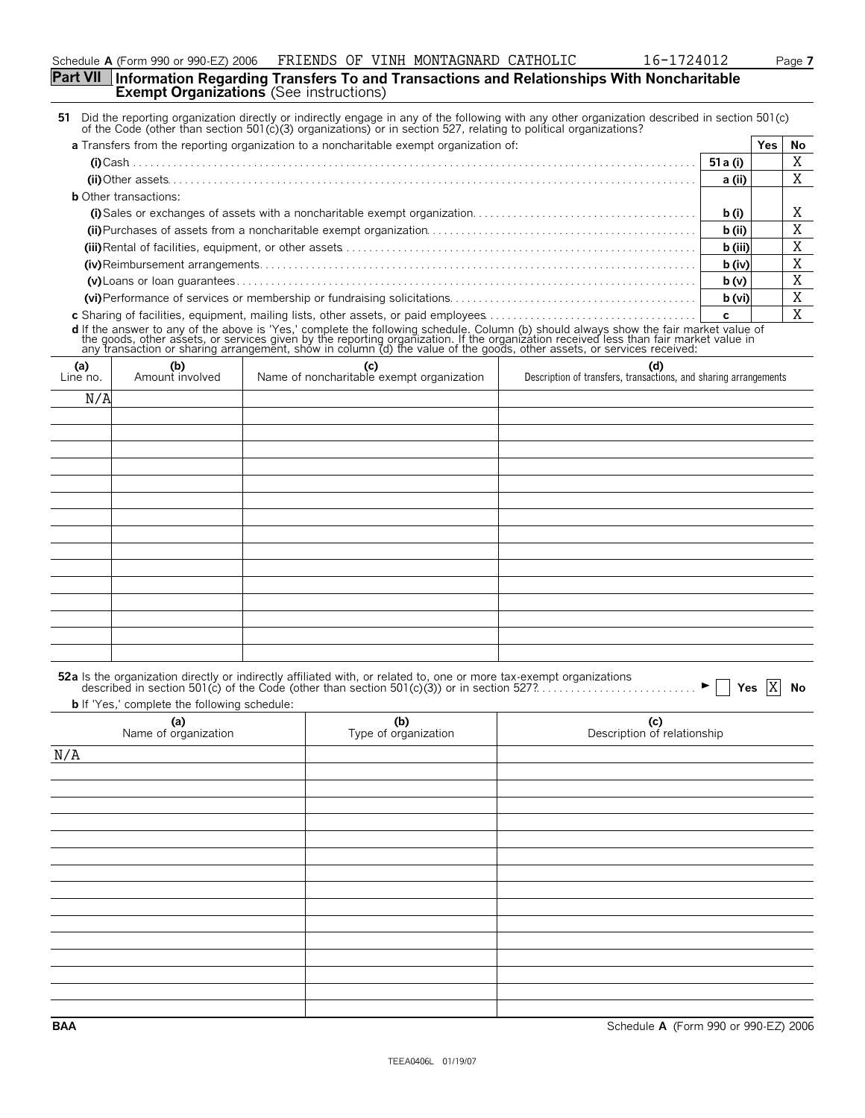# **Part VII Information Regarding Transfers To and Transactions and Relationships With Noncharitable Exempt Organizations** (See instructions)

|                 |                                                     | 51 Did the reporting organization directly or indirectly engage in any of the following with any other organization described in section 501(c)<br>of the Code (other than section 501(c)(3) organizations) or in section 527, relating to political organizations? |          |           |    |
|-----------------|-----------------------------------------------------|---------------------------------------------------------------------------------------------------------------------------------------------------------------------------------------------------------------------------------------------------------------------|----------|-----------|----|
|                 |                                                     | a Transfers from the reporting organization to a noncharitable exempt organization of:                                                                                                                                                                              |          | Yes l     | No |
|                 |                                                     |                                                                                                                                                                                                                                                                     | 51 a (i) |           | Χ  |
|                 |                                                     |                                                                                                                                                                                                                                                                     | a (ii)   |           | Χ  |
|                 | <b>b</b> Other transactions:                        |                                                                                                                                                                                                                                                                     |          |           |    |
|                 |                                                     |                                                                                                                                                                                                                                                                     | b(i)     |           | Χ  |
|                 |                                                     |                                                                                                                                                                                                                                                                     | b (ii)   |           | Χ  |
|                 |                                                     |                                                                                                                                                                                                                                                                     | b (iii)  |           | Χ  |
|                 |                                                     |                                                                                                                                                                                                                                                                     | b (iv)   |           | Χ  |
|                 |                                                     |                                                                                                                                                                                                                                                                     | b(v)     |           | Χ  |
|                 |                                                     |                                                                                                                                                                                                                                                                     | b (vi)   |           | Χ  |
|                 |                                                     | c Sharing of facilities, equipment, mailing lists, other assets, or paid employees                                                                                                                                                                                  | C        |           | X  |
|                 |                                                     |                                                                                                                                                                                                                                                                     |          |           |    |
|                 |                                                     | d If the answer to any of the above is 'Yes,' complete the following schedule. Column (b) should always show the fair market value of the goods, other assets, or services given by the reporting organization. If the organiz                                      |          |           |    |
|                 |                                                     |                                                                                                                                                                                                                                                                     |          |           |    |
| (a)<br>Line no. | (b)<br>Amount involved                              | (c)<br>(d)<br>Name of noncharitable exempt organization<br>Description of transfers, transactions, and sharing arrangements                                                                                                                                         |          |           |    |
|                 |                                                     |                                                                                                                                                                                                                                                                     |          |           |    |
| N/A             |                                                     |                                                                                                                                                                                                                                                                     |          |           |    |
|                 |                                                     |                                                                                                                                                                                                                                                                     |          |           |    |
|                 |                                                     |                                                                                                                                                                                                                                                                     |          |           |    |
|                 |                                                     |                                                                                                                                                                                                                                                                     |          |           |    |
|                 |                                                     |                                                                                                                                                                                                                                                                     |          |           |    |
|                 |                                                     |                                                                                                                                                                                                                                                                     |          |           |    |
|                 |                                                     |                                                                                                                                                                                                                                                                     |          |           |    |
|                 |                                                     |                                                                                                                                                                                                                                                                     |          |           |    |
|                 |                                                     |                                                                                                                                                                                                                                                                     |          |           |    |
|                 |                                                     |                                                                                                                                                                                                                                                                     |          |           |    |
|                 |                                                     |                                                                                                                                                                                                                                                                     |          |           |    |
|                 |                                                     |                                                                                                                                                                                                                                                                     |          |           |    |
|                 |                                                     |                                                                                                                                                                                                                                                                     |          |           |    |
|                 |                                                     |                                                                                                                                                                                                                                                                     |          |           |    |
|                 |                                                     |                                                                                                                                                                                                                                                                     |          |           |    |
|                 |                                                     |                                                                                                                                                                                                                                                                     |          |           |    |
|                 |                                                     |                                                                                                                                                                                                                                                                     |          |           |    |
|                 |                                                     | <b>52a</b> Is the organization directly or indirectly affiliated with, or related to, one or more tax-exempt organizations<br>described in section 501(c) of the Code (other than section 501(c)(3)) or in section 527?                                             |          | Yes $ X $ | No |
|                 | <b>b</b> If 'Yes,' complete the following schedule: |                                                                                                                                                                                                                                                                     |          |           |    |
|                 | (a)<br>Name of organization                         | (b)<br>(c)<br>Type of organization<br>Description of relationship                                                                                                                                                                                                   |          |           |    |
| N/A             |                                                     |                                                                                                                                                                                                                                                                     |          |           |    |
|                 |                                                     |                                                                                                                                                                                                                                                                     |          |           |    |
|                 |                                                     |                                                                                                                                                                                                                                                                     |          |           |    |
|                 |                                                     |                                                                                                                                                                                                                                                                     |          |           |    |
|                 |                                                     |                                                                                                                                                                                                                                                                     |          |           |    |
|                 |                                                     |                                                                                                                                                                                                                                                                     |          |           |    |
|                 |                                                     |                                                                                                                                                                                                                                                                     |          |           |    |
|                 |                                                     |                                                                                                                                                                                                                                                                     |          |           |    |
|                 |                                                     |                                                                                                                                                                                                                                                                     |          |           |    |
|                 |                                                     |                                                                                                                                                                                                                                                                     |          |           |    |
|                 |                                                     |                                                                                                                                                                                                                                                                     |          |           |    |
|                 |                                                     |                                                                                                                                                                                                                                                                     |          |           |    |
|                 |                                                     |                                                                                                                                                                                                                                                                     |          |           |    |
|                 |                                                     |                                                                                                                                                                                                                                                                     |          |           |    |
|                 |                                                     |                                                                                                                                                                                                                                                                     |          |           |    |
|                 |                                                     |                                                                                                                                                                                                                                                                     |          |           |    |
|                 |                                                     |                                                                                                                                                                                                                                                                     |          |           |    |

**BAA** Schedule **A** (Form 990 or 990-EZ) 2006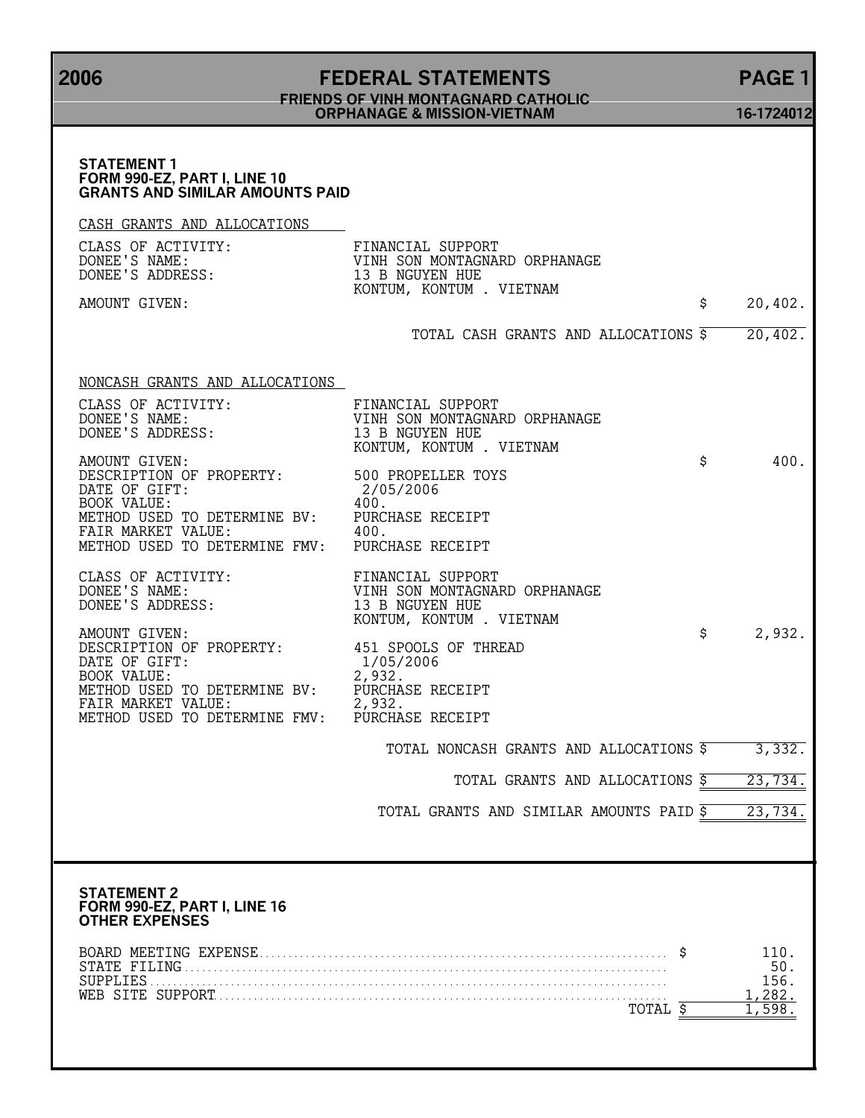# **2006 FEDERAL STATEMENTS PAGE 1 FRIENDS OF VINH MONTAGNARD CATHOLIC ORPHANAGE & MISSION-VIETNAM 16-1724012**

| <b>STATEMENT 1</b><br>FORM 990-EZ, PART I, LINE 10<br><b>GRANTS AND SIMILAR AMOUNTS PAID</b>                          |                                                                                                   |                |
|-----------------------------------------------------------------------------------------------------------------------|---------------------------------------------------------------------------------------------------|----------------|
| CASH GRANTS AND ALLOCATIONS                                                                                           |                                                                                                   |                |
| CLASS OF ACTIVITY:<br>DONEE'S NAME:<br>DONEE'S ADDRESS:                                                               | FINANCIAL SUPPORT<br>VINH SON MONTAGNARD ORPHANAGE<br>13 B NGUYEN HUE<br>KONTUM, KONTUM . VIETNAM |                |
| AMOUNT GIVEN:                                                                                                         |                                                                                                   | \$<br>20,402.  |
|                                                                                                                       | TOTAL CASH GRANTS AND ALLOCATIONS \$                                                              | 20,402.        |
| NONCASH GRANTS AND ALLOCATIONS                                                                                        |                                                                                                   |                |
| CLASS OF ACTIVITY:<br>DONEE'S NAME:<br>DONEE'S ADDRESS:                                                               | FINANCIAL SUPPORT<br>VINH SON MONTAGNARD ORPHANAGE<br>13 B NGUYEN HUE<br>KONTUM, KONTUM . VIETNAM |                |
| AMOUNT GIVEN:<br>DESCRIPTION OF PROPERTY: 500 PROPELLER TOYS<br>DATE OF GIFT:<br><b>BOOK VALUE:</b>                   | 2/05/2006<br>400.                                                                                 | \$<br>400.     |
| METHOD USED TO DETERMINE BV: PURCHASE RECEIPT<br>FAIR MARKET VALUE:<br>METHOD USED TO DETERMINE FMV: PURCHASE RECEIPT | 400.                                                                                              |                |
| CLASS OF ACTIVITY:<br>DONEE'S NAME:<br>DONEE'S ADDRESS:                                                               | FINANCIAL SUPPORT<br>VINH SON MONTAGNARD ORPHANAGE<br>13 B NGUYEN HUE<br>KONTUM, KONTUM . VIETNAM |                |
| AMOUNT GIVEN:<br>DESCRIPTION OF PROPERTY:<br>DATE OF GIFT:<br><b>BOOK VALUE:</b>                                      | 451 SPOOLS OF THREAD<br>1/05/2006<br>2,932.                                                       | \$<br>2,932.   |
| METHOD USED TO DETERMINE BV:<br>FAIR MARKET VALUE:<br>METHOD USED TO DETERMINE FMV:                                   | PURCHASE RECEIPT<br>2,932.                                                                        |                |
|                                                                                                                       | PURCHASE RECEIPT                                                                                  |                |
|                                                                                                                       | TOTAL NONCASH GRANTS AND ALLOCATIONS \$                                                           | 3,332.         |
|                                                                                                                       | TOTAL GRANTS AND ALLOCATIONS \$                                                                   | 23,734.        |
|                                                                                                                       | TOTAL GRANTS AND SIMILAR AMOUNTS PAID 5                                                           | 23,734.        |
|                                                                                                                       |                                                                                                   |                |
| <b>STATEMENT 2</b><br>FORM 990-EZ, PART I, LINE 16<br>OTHER EXPENSES                                                  |                                                                                                   |                |
|                                                                                                                       |                                                                                                   | 110.<br>50.    |
| SUPPLIES.                                                                                                             |                                                                                                   | 156.<br>1,282. |
|                                                                                                                       | TOTAL \$                                                                                          | 1,598          |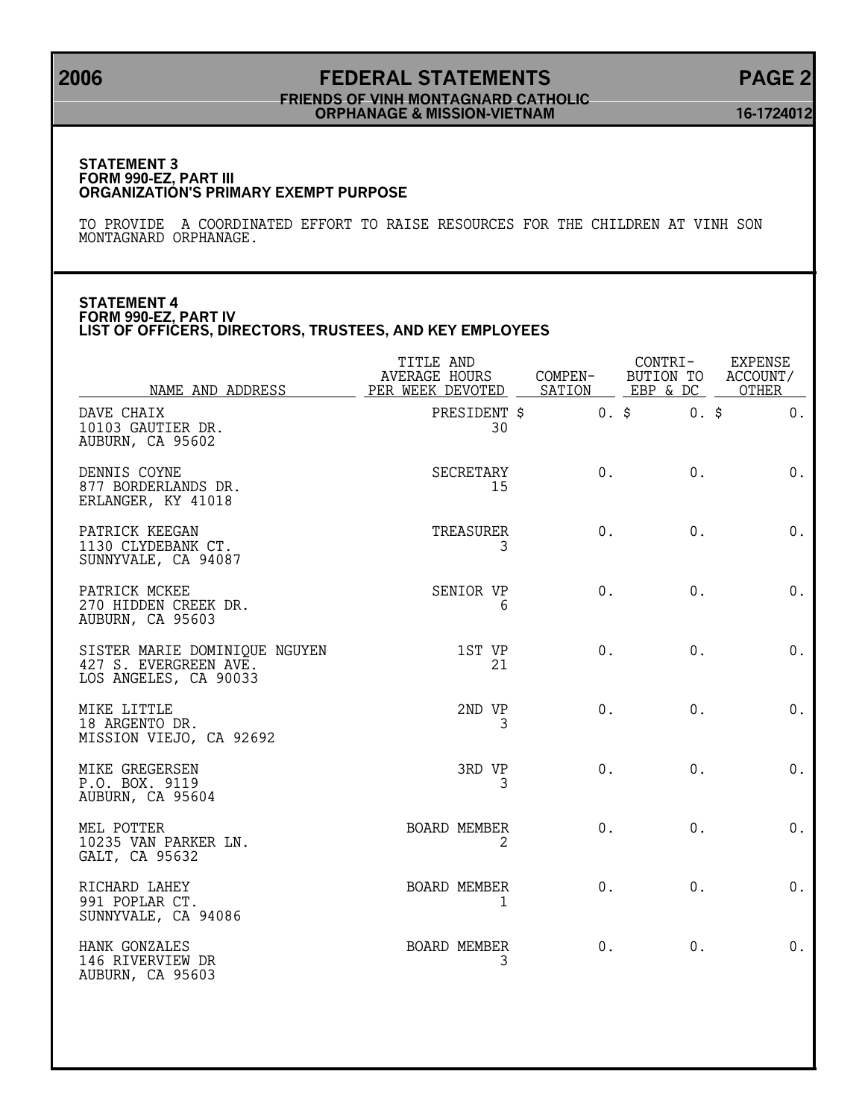# **2006 FEDERAL STATEMENTS PAGE 2 FRIENDS OF VINH MONTAGNARD CATHOLIC ORPHANAGE & MISSION-VIETNAM 16-1724012**

#### **STATEMENT 3 FORM 990-EZ, PART III ORGANIZATION'S PRIMARY EXEMPT PURPOSE**

TO PROVIDE A COORDINATED EFFORT TO RAISE RESOURCES FOR THE CHILDREN AT VINH SON MONTAGNARD ORPHANAGE.

### **STATEMENT 4 FORM 990-EZ, PART IV LIST OF OFFICERS, DIRECTORS, TRUSTEES, AND KEY EMPLOYEES**

| NAME AND ADDRESS                                                                | TITLE AND<br>AVERAGE HOURS<br>PER WEEK DEVOTED SATION EBP & DC OTHER | COMPEN- | CONTRI-         | <b>EXPENSE</b><br>BUTION TO ACCOUNT/ |
|---------------------------------------------------------------------------------|----------------------------------------------------------------------|---------|-----------------|--------------------------------------|
| DAVE CHAIX<br>10103 GAUTIER DR.<br>AUBURN, CA 95602                             | PRESIDENT \$<br>30                                                   |         | $0.$ \$ $0.$ \$ | $0$ .                                |
| DENNIS COYNE<br>877 BORDERLANDS DR.<br>ERLANGER, KY 41018                       | SECRETARY<br>15                                                      | 0.      | 0.              | $0$ .                                |
| PATRICK KEEGAN<br>1130 CLYDEBANK CT.<br>SUNNYVALE, CA 94087                     | TREASURER<br>3                                                       | 0.      | $0$ .           | $0$ .                                |
| PATRICK MCKEE<br>270 HIDDEN CREEK DR.<br>AUBURN, CA 95603                       | SENIOR VP<br>6                                                       | $0$ .   | $0$ .           | 0.                                   |
| SISTER MARIE DOMINIQUE NGUYEN<br>427 S. EVERGREEN AVE.<br>LOS ANGELES, CA 90033 | 1ST VP<br>21                                                         | $0$ .   | $0$ .           | $0$ .                                |
| MIKE LITTLE<br>18 ARGENTO DR.<br>MISSION VIEJO, CA 92692                        | 2ND VP<br>3                                                          | $0$ .   | $0$ .           | 0.                                   |
| MIKE GREGERSEN<br>P.O. BOX. 9119<br>AUBURN, CA 95604                            | 3RD VP<br>3                                                          | 0.      | $0$ .           | $0$ .                                |
| MEL POTTER<br>10235 VAN PARKER LN.<br>GALT, CA 95632                            | BOARD MEMBER<br>2                                                    | 0.      | 0.              | 0.                                   |
| RICHARD LAHEY<br>991 POPLAR CT.<br>SUNNYVALE, CA 94086                          | <b>BOARD MEMBER</b><br>1                                             | $0$ .   | 0.              | $0$ .                                |
| HANK GONZALES<br>146 RIVERVIEW DR<br>AUBURN, CA 95603                           | BOARD MEMBER<br>3                                                    | 0.      | 0.              | 0.                                   |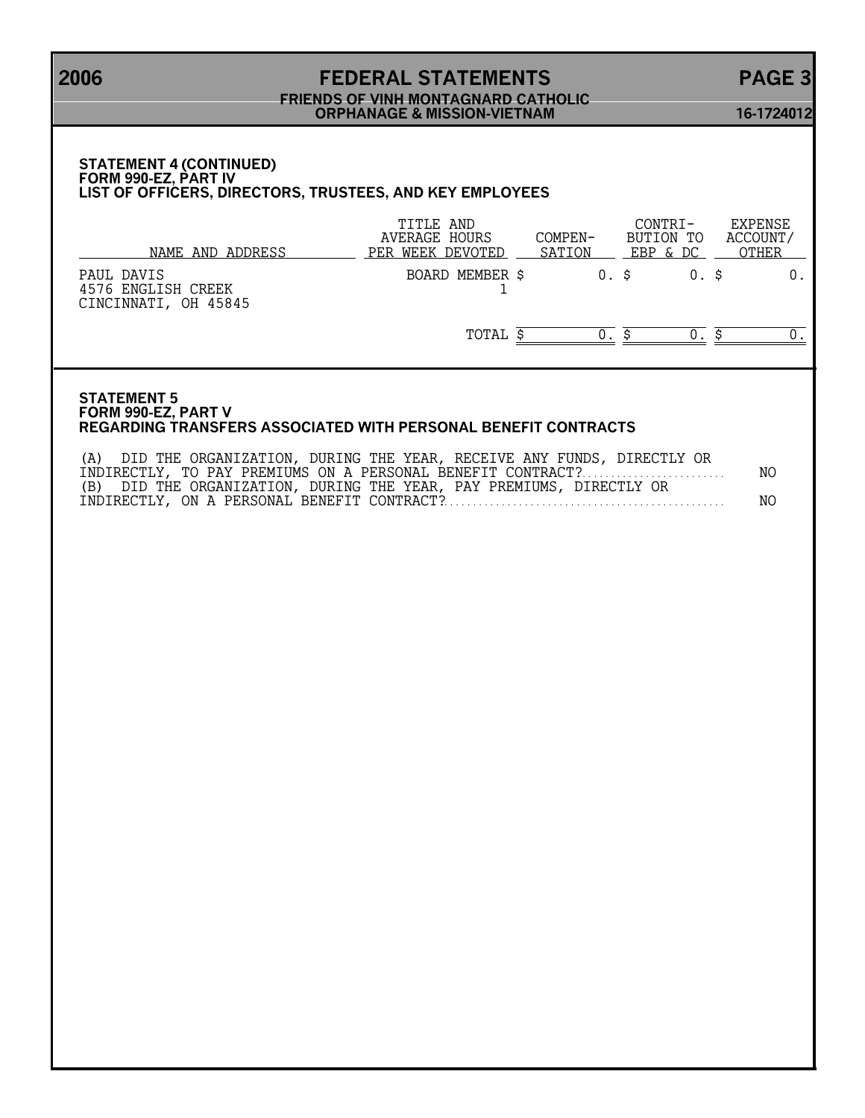# **2006 FEDERAL STATEMENTS PAGE 3 FRIENDS OF VINH MONTAGNARD CATHOLIC ORPHANAGE & MISSION-VIETNAM 16-1724012**

### **STATEMENT 4 (CONTINUED) FORM 990-EZ, PART IV LIST OF OFFICERS, DIRECTORS, TRUSTEES, AND KEY EMPLOYEES**

| NAME AND ADDRESS                                         | TITLE AND<br>AVERAGE HOURS<br>PER WEEK DEVOTED | COMPEN-<br>SATION |       | CONTRT-<br>BUTION TO<br>EBP & DC | <b>EXPENSE</b><br>ACCOUNT/<br><b>OTHER</b> |
|----------------------------------------------------------|------------------------------------------------|-------------------|-------|----------------------------------|--------------------------------------------|
| PAUL DAVIS<br>4576 ENGLISH CREEK<br>CINCINNATI, OH 45845 | BOARD MEMBER \$                                |                   | 0. \$ |                                  |                                            |
|                                                          | TOTAL                                          |                   |       |                                  |                                            |

### **STATEMENT 5 FORM 990-EZ, PART V REGARDING TRANSFERS ASSOCIATED WITH PERSONAL BENEFIT CONTRACTS**

| (A) DID THE ORGANIZATION, DURING THE YEAR, RECEIVE ANY FUNDS, DIRECTLY OR |      |
|---------------------------------------------------------------------------|------|
|                                                                           | NO . |
| (B) DID THE ORGANIZATION, DURING THE YEAR, PAY PREMIUMS, DIRECTLY OR      |      |
|                                                                           | NO.  |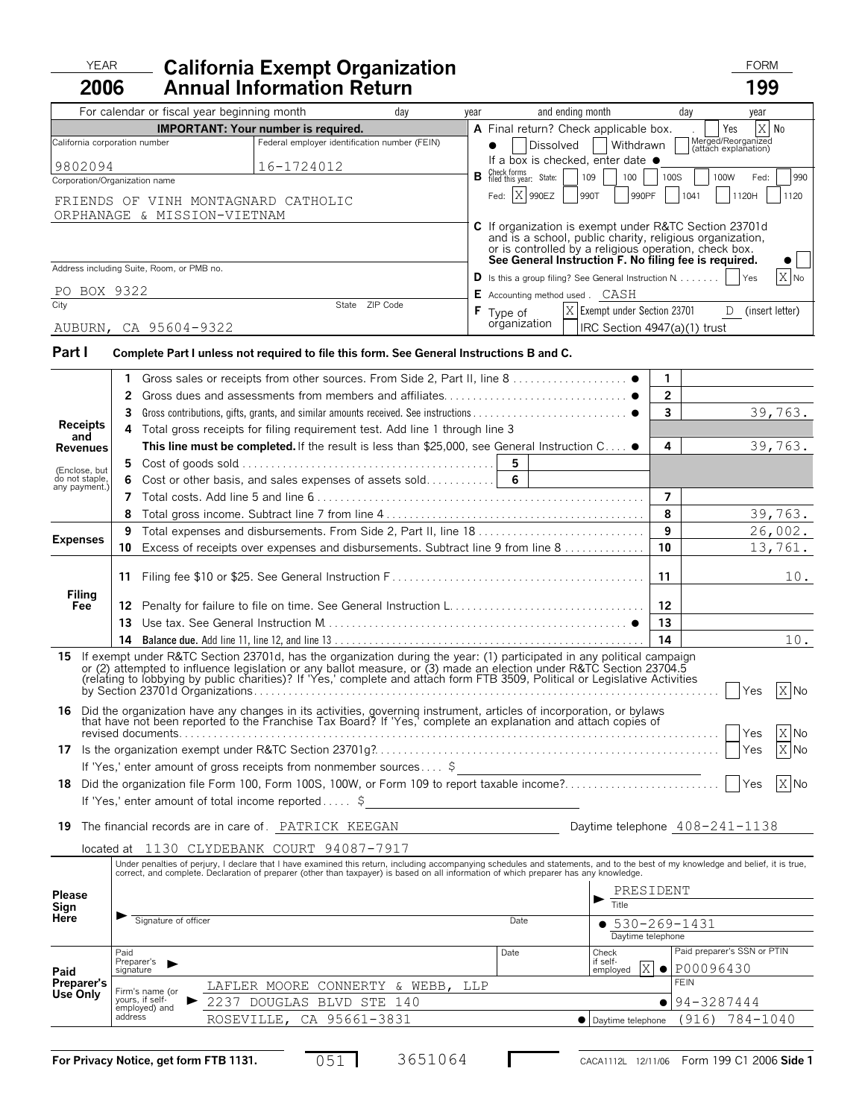# YEAR FORM **California Exempt Organization 2006**

|                                 | 2006                                                                                                                                                                                                                                                         |              |                                                                    | <b>Annual Information Return</b>                                                         |     |      |                                                                                                                                                                                                                                                                                                                                                                                 |                | 199                                        |        |
|---------------------------------|--------------------------------------------------------------------------------------------------------------------------------------------------------------------------------------------------------------------------------------------------------------|--------------|--------------------------------------------------------------------|------------------------------------------------------------------------------------------|-----|------|---------------------------------------------------------------------------------------------------------------------------------------------------------------------------------------------------------------------------------------------------------------------------------------------------------------------------------------------------------------------------------|----------------|--------------------------------------------|--------|
|                                 |                                                                                                                                                                                                                                                              |              | For calendar or fiscal year beginning month                        |                                                                                          | day | year | and ending month                                                                                                                                                                                                                                                                                                                                                                |                | day<br>year                                |        |
|                                 |                                                                                                                                                                                                                                                              |              |                                                                    | <b>IMPORTANT: Your number is required.</b>                                               |     |      | A Final return? Check applicable box.                                                                                                                                                                                                                                                                                                                                           |                | $\rm X$<br>Yes<br>No                       |        |
|                                 |                                                                                                                                                                                                                                                              |              | California corporation number                                      | Federal employer identification number (FEIN)                                            |     |      | Dissolved<br>Withdrawn                                                                                                                                                                                                                                                                                                                                                          |                | Merged/Reorganized<br>(attach explanation) |        |
|                                 | 9802094                                                                                                                                                                                                                                                      |              |                                                                    | 16-1724012                                                                               |     |      | If a box is checked, enter date $\bullet$<br><b>B</b> Check forms<br><b>B</b> filed this year: State:                                                                                                                                                                                                                                                                           |                |                                            |        |
|                                 |                                                                                                                                                                                                                                                              |              | Corporation/Organization name                                      |                                                                                          |     |      | 109<br>100                                                                                                                                                                                                                                                                                                                                                                      | 100S           | 100W<br>Fed:                               | 990    |
|                                 |                                                                                                                                                                                                                                                              |              | FRIENDS OF VINH MONTAGNARD CATHOLIC<br>ORPHANAGE & MISSION-VIETNAM |                                                                                          |     |      | Fed: X 990EZ<br>990PF<br>990T                                                                                                                                                                                                                                                                                                                                                   |                | 1041<br>1120H                              | 1120   |
|                                 |                                                                                                                                                                                                                                                              |              |                                                                    |                                                                                          |     |      | C If organization is exempt under R&TC Section 23701d<br>and is a school, public charity, religious organization,<br>or is controlled by a religious operation, check box.<br>See General Instruction F. No filing fee is required.                                                                                                                                             |                |                                            |        |
|                                 |                                                                                                                                                                                                                                                              |              | Address including Suite, Room, or PMB no.                          |                                                                                          |     |      | <b>D</b> Is this a group filing? See General Instruction $N$                                                                                                                                                                                                                                                                                                                    |                | Yes                                        | $X$ No |
|                                 | PO BOX 9322                                                                                                                                                                                                                                                  |              |                                                                    |                                                                                          |     |      | <b>E</b> Accounting method used . CASH                                                                                                                                                                                                                                                                                                                                          |                |                                            |        |
| City                            |                                                                                                                                                                                                                                                              |              |                                                                    | State ZIP Code                                                                           |     | F.   | X Exempt under Section 23701<br>Type of                                                                                                                                                                                                                                                                                                                                         |                | D (insert letter)                          |        |
|                                 |                                                                                                                                                                                                                                                              |              | AUBURN, CA 95604-9322                                              |                                                                                          |     |      | organization<br>IRC Section 4947(a)(1) trust                                                                                                                                                                                                                                                                                                                                    |                |                                            |        |
|                                 |                                                                                                                                                                                                                                                              |              |                                                                    |                                                                                          |     |      |                                                                                                                                                                                                                                                                                                                                                                                 |                |                                            |        |
| Part I                          |                                                                                                                                                                                                                                                              |              |                                                                    | Complete Part I unless not required to file this form. See General Instructions B and C. |     |      |                                                                                                                                                                                                                                                                                                                                                                                 |                |                                            |        |
|                                 |                                                                                                                                                                                                                                                              | 1.           |                                                                    |                                                                                          |     |      |                                                                                                                                                                                                                                                                                                                                                                                 | 1              |                                            |        |
|                                 |                                                                                                                                                                                                                                                              | $\mathbf{2}$ |                                                                    |                                                                                          |     |      |                                                                                                                                                                                                                                                                                                                                                                                 | $\overline{2}$ |                                            |        |
|                                 |                                                                                                                                                                                                                                                              | 3            |                                                                    |                                                                                          |     |      |                                                                                                                                                                                                                                                                                                                                                                                 | $\mathbf{3}$   | 39,763.                                    |        |
| <b>Receipts</b>                 |                                                                                                                                                                                                                                                              |              |                                                                    | 4 Total gross receipts for filing requirement test. Add line 1 through line 3            |     |      |                                                                                                                                                                                                                                                                                                                                                                                 |                |                                            |        |
| and<br><b>Revenues</b>          |                                                                                                                                                                                                                                                              |              |                                                                    |                                                                                          |     |      | This line must be completed. If the result is less than \$25,000, see General Instruction $C \ldots$ .                                                                                                                                                                                                                                                                          | 4              | 39,763.                                    |        |
|                                 |                                                                                                                                                                                                                                                              | 5.           |                                                                    |                                                                                          |     |      | 5                                                                                                                                                                                                                                                                                                                                                                               |                |                                            |        |
| (Enclose, but<br>do not staple, |                                                                                                                                                                                                                                                              |              |                                                                    |                                                                                          |     |      |                                                                                                                                                                                                                                                                                                                                                                                 |                |                                            |        |
| any payment.)                   |                                                                                                                                                                                                                                                              | 7            |                                                                    |                                                                                          |     |      |                                                                                                                                                                                                                                                                                                                                                                                 | $\overline{7}$ |                                            |        |
|                                 |                                                                                                                                                                                                                                                              | 8            |                                                                    |                                                                                          |     |      |                                                                                                                                                                                                                                                                                                                                                                                 | 8              | 39,763.                                    |        |
|                                 |                                                                                                                                                                                                                                                              | 9            |                                                                    |                                                                                          |     |      |                                                                                                                                                                                                                                                                                                                                                                                 | 9              | 26,002.                                    |        |
| <b>Expenses</b>                 |                                                                                                                                                                                                                                                              | 10           |                                                                    |                                                                                          |     |      | Excess of receipts over expenses and disbursements. Subtract line 9 from line 8                                                                                                                                                                                                                                                                                                 | 10             | 13,761.                                    |        |
|                                 |                                                                                                                                                                                                                                                              |              |                                                                    |                                                                                          |     |      |                                                                                                                                                                                                                                                                                                                                                                                 |                |                                            |        |
|                                 |                                                                                                                                                                                                                                                              | 11           |                                                                    |                                                                                          |     |      |                                                                                                                                                                                                                                                                                                                                                                                 | 11             |                                            | 10.    |
| Filing<br>Fee                   |                                                                                                                                                                                                                                                              |              |                                                                    |                                                                                          |     |      | 12 Penalty for failure to file on time. See General Instruction L                                                                                                                                                                                                                                                                                                               | 12             |                                            |        |
|                                 |                                                                                                                                                                                                                                                              |              |                                                                    |                                                                                          |     |      |                                                                                                                                                                                                                                                                                                                                                                                 | 13             |                                            |        |
|                                 |                                                                                                                                                                                                                                                              |              |                                                                    |                                                                                          |     |      |                                                                                                                                                                                                                                                                                                                                                                                 | 14             |                                            | 10.    |
|                                 |                                                                                                                                                                                                                                                              |              |                                                                    |                                                                                          |     |      | 15 If exempt under R&TC Section 23701d, has the organization during the year: (1) participated in any political campaign<br>or (2) attempted to influence legislation or any ballot measure, or (3) made an election under R&TC Section 23704.5<br>(relating to lobbying by public charities)? If 'Yes,' complete and attach form FTB 3509, Political or Legislative Activities |                | Yes                                        | X No   |
|                                 | <b>16</b> Did the organization have any changes in its activities, governing instrument, articles of incorporation, or bylaws<br>that have not been reported to the Franchise Tax Board? If Yes, complete an explanation and attach copies of<br>X No<br>Yes |              |                                                                    |                                                                                          |     |      |                                                                                                                                                                                                                                                                                                                                                                                 |                |                                            |        |
|                                 |                                                                                                                                                                                                                                                              |              |                                                                    |                                                                                          |     |      | Yes                                                                                                                                                                                                                                                                                                                                                                             | X No           |                                            |        |
|                                 |                                                                                                                                                                                                                                                              |              |                                                                    |                                                                                          |     |      | If 'Yes,' enter amount of gross receipts from nonmember sources \$                                                                                                                                                                                                                                                                                                              |                |                                            |        |
|                                 |                                                                                                                                                                                                                                                              |              |                                                                    |                                                                                          |     |      |                                                                                                                                                                                                                                                                                                                                                                                 |                | Yes                                        | $X$ No |
|                                 |                                                                                                                                                                                                                                                              |              |                                                                    | If 'Yes,' enter amount of total income reported \$__________________________             |     |      |                                                                                                                                                                                                                                                                                                                                                                                 |                |                                            |        |
|                                 |                                                                                                                                                                                                                                                              |              |                                                                    |                                                                                          |     |      |                                                                                                                                                                                                                                                                                                                                                                                 |                |                                            |        |

**19** The financial records are in care of . PATRICK KEEGAN **1999** Daytime telephone  $408-241-1138$ 

|  | Daytime telephone $408 - 241 - 11$ |
|--|------------------------------------|
|  |                                    |

located at 1130 CLYDEBANK COURT 94087-7917

|                                      | correct, and complete. Declaration of preparer (other than taxpayer) is based on all information of which preparer has any knowledge. | Under penalties of perjury, I declare that I have examined this return, including accompanying schedules and statements, and to the best of my knowledge and belief, it is true, |      |                                   |                                                    |
|--------------------------------------|---------------------------------------------------------------------------------------------------------------------------------------|----------------------------------------------------------------------------------------------------------------------------------------------------------------------------------|------|-----------------------------------|----------------------------------------------------|
| <b>Please</b><br>Sign<br><b>Here</b> |                                                                                                                                       |                                                                                                                                                                                  |      | PRESIDENT<br>Title                |                                                    |
|                                      | Signature of officer                                                                                                                  |                                                                                                                                                                                  | Date | 530-269-1431<br>Daytime telephone |                                                    |
| Paid                                 | Paid<br>Preparer's<br>signature                                                                                                       |                                                                                                                                                                                  | Date | Check<br>if self-<br>employed     | Paid preparer's SSN or PTIN<br>$X \odot P00096430$ |
| Preparer's                           | Firm's name (or                                                                                                                       | LAFLER MOORE CONNERTY & WEBB, LLP                                                                                                                                                |      |                                   | FEIN                                               |
| Use Only                             | vours, if self-<br>employed) and                                                                                                      | 2237<br>DOUGLAS BLVD STE 140                                                                                                                                                     |      |                                   | $-194 - 3287444$                                   |
|                                      | address                                                                                                                               | ROSEVILLE, CA 95661-3831                                                                                                                                                         |      | • Daytime telephone               | 784-1040<br>(916)                                  |

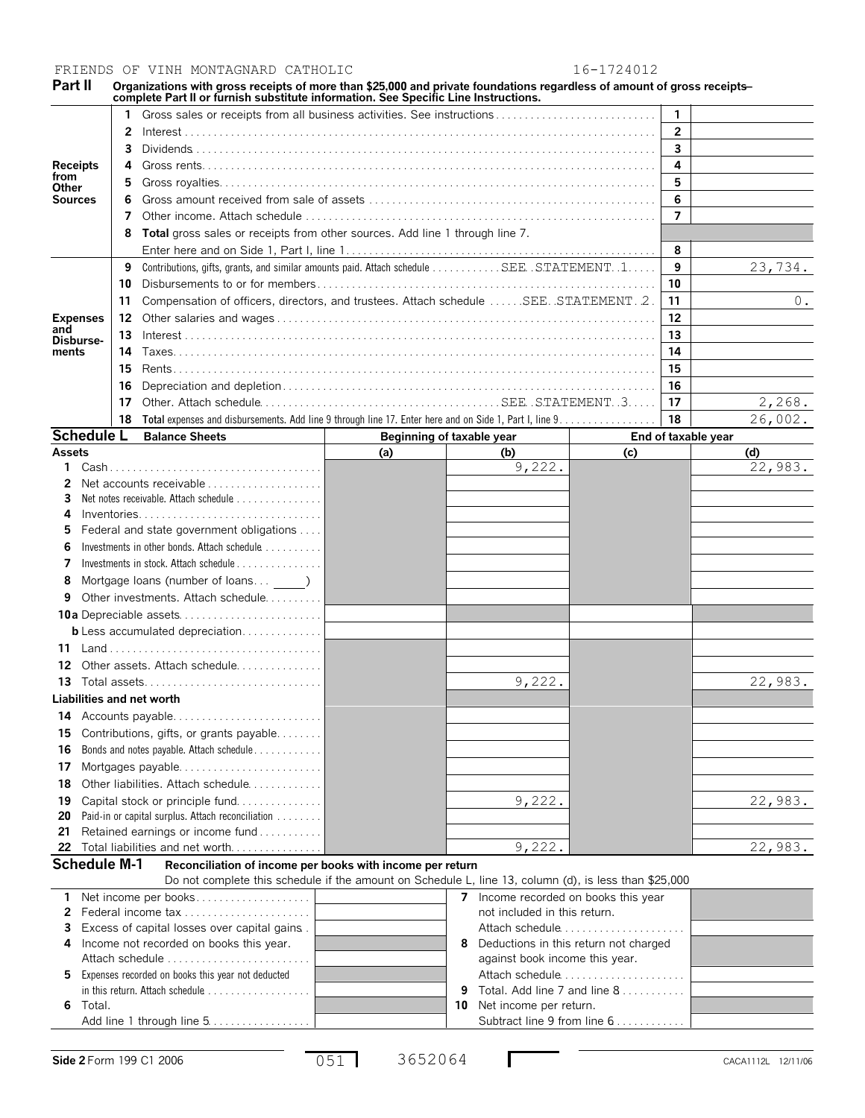FRIENDS OF VINH MONTAGNARD CATHOLIC 16-1724012

Part II Organizations with gross receipts of more than \$25,000 and private foundations regardless of amount of gross receipts—<br>complete Part II or furnish substitute information. See Specific Line Instructions.

|                   |          | Gross sales or receipts from all business activities. See instructions                  |                                                                                        |                           |         | $\mathbf{1}$        |         |  |
|-------------------|----------|-----------------------------------------------------------------------------------------|----------------------------------------------------------------------------------------|---------------------------|---------|---------------------|---------|--|
|                   | 2        |                                                                                         |                                                                                        |                           |         | $\overline{2}$      |         |  |
|                   | 3        |                                                                                         | $\overline{\mathbf{3}}$                                                                |                           |         |                     |         |  |
| <b>Receipts</b>   | 4        |                                                                                         |                                                                                        |                           |         | 4                   |         |  |
| from<br>Other     | 5        |                                                                                         |                                                                                        |                           |         | 5                   |         |  |
| <b>Sources</b>    |          |                                                                                         |                                                                                        |                           |         | 6                   |         |  |
|                   | 7        |                                                                                         |                                                                                        |                           |         | $\overline{7}$      |         |  |
|                   |          | Total gross sales or receipts from other sources. Add line 1 through line 7.            |                                                                                        |                           |         |                     |         |  |
|                   |          |                                                                                         |                                                                                        |                           |         | 8                   |         |  |
|                   | 9        | Contributions, gifts, grants, and similar amounts paid. Attach schedule SEE. STATEMENT1 |                                                                                        |                           |         | 9                   | 23,734. |  |
|                   | 10       |                                                                                         |                                                                                        |                           |         | 10                  |         |  |
|                   | 11       |                                                                                         | Compensation of officers, directors, and trustees. Attach schedule  SEE. STATEMENT. 2. |                           |         |                     |         |  |
| <b>Expenses</b>   | 12       |                                                                                         | 12                                                                                     |                           |         |                     |         |  |
| and<br>Disburse-  | 13       |                                                                                         | 13                                                                                     |                           |         |                     |         |  |
| ments             |          |                                                                                         | 14                                                                                     |                           |         |                     |         |  |
|                   | 15       |                                                                                         | 15                                                                                     |                           |         |                     |         |  |
|                   | 16       |                                                                                         |                                                                                        |                           |         | 16                  |         |  |
|                   | 17<br>17 |                                                                                         |                                                                                        |                           |         |                     | 2,268.  |  |
|                   | 18       |                                                                                         |                                                                                        | 18                        | 26,002. |                     |         |  |
| <b>Schedule L</b> |          | <b>Balance Sheets</b>                                                                   |                                                                                        | Beginning of taxable year |         | End of taxable year |         |  |
| <b>Assets</b>     |          |                                                                                         | (a)                                                                                    | (b)                       | (c)     |                     | (d)     |  |
| 1.                |          |                                                                                         |                                                                                        | 9,222.                    |         |                     | 22,983. |  |
|                   |          |                                                                                         |                                                                                        |                           |         |                     |         |  |
| 3<br>4            |          | $Inventories. \ldots \ldots \ldots \ldots \ldots \ldots \ldots \ldots \ldots$           |                                                                                        |                           |         |                     |         |  |
|                   |          | Federal and state government obligations                                                |                                                                                        |                           |         |                     |         |  |
| 6                 |          | Investments in other bonds. Attach schedule                                             |                                                                                        |                           |         |                     |         |  |
|                   |          | Investments in stock. Attach schedule                                                   |                                                                                        |                           |         |                     |         |  |
| 8                 |          | Mortgage loans (number of loans )                                                       |                                                                                        |                           |         |                     |         |  |
| 9                 |          | Other investments. Attach schedule                                                      |                                                                                        |                           |         |                     |         |  |
|                   |          | <b>10a</b> Denreciable assets                                                           |                                                                                        |                           |         |                     |         |  |

|     | <b>Othor invocations.</b> Attach Scribuard.       |        |         |
|-----|---------------------------------------------------|--------|---------|
|     |                                                   |        |         |
|     | <b>b</b> Less accumulated depreciation            |        |         |
|     |                                                   |        |         |
|     | 12 Other assets. Attach schedule                  |        |         |
| 13. |                                                   | 9,222. | 22,983. |
|     | Liabilities and net worth                         |        |         |
|     |                                                   |        |         |
|     | 15 Contributions, gifts, or grants payable        |        |         |
| 16  | Bonds and notes payable. Attach schedule 1        |        |         |
| 17  | Mortgages payable                                 |        |         |
| 18  | Other liabilities. Attach schedule                |        |         |
| 19  | Capital stock or principle fund                   | 9,222. | 22,983. |
| 20  | Paid-in or capital surplus. Attach reconciliation |        |         |
| 21  | Retained earnings or income fund                  |        |         |
|     | 22 Total liabilities and net worth                | 9,222. | 22,983. |

| <b>Schedule M-1</b> |  |
|---------------------|--|
|---------------------|--|

**Schedule M-1 Reconciliation of income per books with income per return**

Do not complete this schedule if the amount on Schedule L, line 13, column (d), is less than \$25,000

| 1 Net income per books                              |    | Income recorded on books this year      |  |
|-----------------------------------------------------|----|-----------------------------------------|--|
|                                                     |    | not included in this return.            |  |
| 3 Excess of capital losses over capital gains.      |    | Attach schedule                         |  |
| 4 Income not recorded on books this year.           | 8  | Deductions in this return not charged   |  |
|                                                     |    | against book income this year.          |  |
| 5 Expenses recorded on books this year not deducted |    | Attach schedule                         |  |
|                                                     |    | <b>9</b> Total. Add line 7 and line $8$ |  |
| 6 Total.                                            | 10 | Net income per return.                  |  |
| Add line 1 through line 5                           |    | Subtract line 9 from line 6             |  |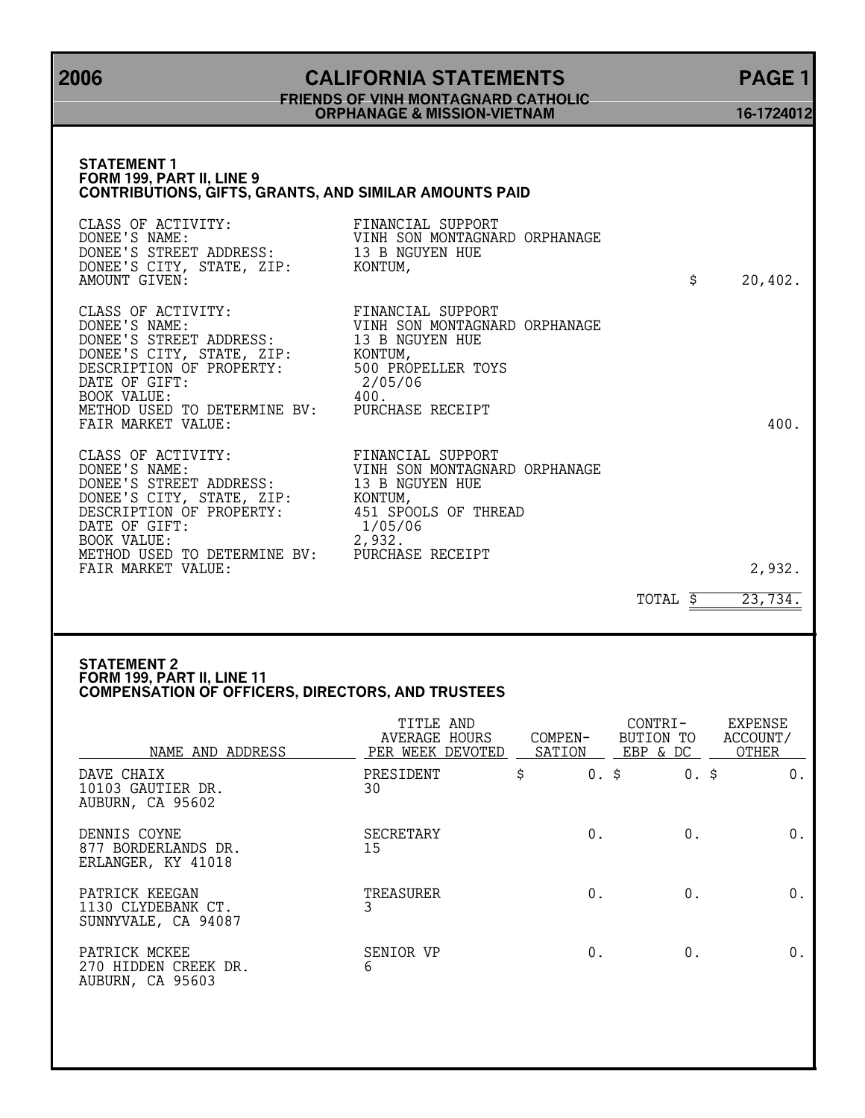## **2006 CALIFORNIA STATEMENTS PAGE 1 FRIENDS OF VINH MONTAGNARD CATHOLIC ORPHANAGE & MISSION-VIETNAM 16-1724012**

## **STATEMENT 1 FORM 199, PART II, LINE 9 CONTRIBUTIONS, GIFTS, GRANTS, AND SIMILAR AMOUNTS PAID** CLASS OF ACTIVITY: FINANCIAL SUPPORT<br>DONEE'S NAME: VINH SON MONTAGNA VINH SON MONTAGNARD ORPHANAGE<br>13 B NGUYEN HUE DONEE'S STREET ADDRESS: 13 B NGUYEN HUE DONEE'S CITY, STATE, ZIP: KONTUM, AMOUNT GIVEN: \$ 20,402. CLASS OF ACTIVITY: FINANCIAL SUPPORT<br>DONEE'S NAME: VINH SON MONTAGNAI VINH SON MONTAGNARD ORPHANAGE<br>13 B NGUYEN HUE DONEE'S STREET ADDRESS: 13 B NG<br>DONEE'S CITY, STATE, ZIP: KONTUM, DONEE'S CITY, STATE, ZIP: KONTUM, DESCRIPTION OF PROPERTY: 500 PROPELLER TOYS DATE OF GIFT: 2/05/06<br>BOOK VALUE: 400. BOOK VALUE: 400. METHOD USED TO DETERMINE BV: PURCHASE RECEIPT FAIR MARKET VALUE: 400. CLASS OF ACTIVITY: FINANCIAL SUPPORT FINANCIAL SUPPORT<br>VINH SON MONTAGNARD ORPHANAGE<br>13 B NGUYEN HUE DONEE'S STREET ADDRESS: 13 B NGUYEN HUE DONEE'S CITY, STATE, ZIP: KONTUM, DESCRIPTION OF PROPERTY: 451 SPOOLS OF THREAD DONEE'S CITY, STATE, ZIP:<br>
DESCRIPTION OF PROPERTY:<br>
DESCRIPTION OF PROPERTY:<br>
DATE OF GIFT:<br>
BOOK VALUE:<br>
2.932. BOOK VALUE: METHOD USED TO DETERMINE BV: PURCHASE RECEIPT FAIR MARKET VALUE: 2,932.

TOTAL  $\frac{1}{5}$  23,734.

#### **STATEMENT 2 FORM 199, PART II, LINE 11 COMPENSATION OF OFFICERS, DIRECTORS, AND TRUSTEES**

| NAME AND ADDRESS                                            | TITLE AND<br>AVERAGE HOURS<br>PER WEEK DEVOTED | COMPEN-<br>SATION | CONTRI-<br>BUTION TO<br>EBP & DC | <b>EXPENSE</b><br>ACCOUNT/<br><b>OTHER</b> |
|-------------------------------------------------------------|------------------------------------------------|-------------------|----------------------------------|--------------------------------------------|
| DAVE CHAIX<br>10103 GAUTIER DR.<br>AUBURN, CA 95602         | PRESIDENT<br>30                                | \$<br>$0.$ \$     | $0.$ \$                          | 0.                                         |
| DENNIS COYNE<br>877 BORDERLANDS DR.<br>ERLANGER, KY 41018   | <b>SECRETARY</b><br>15                         | 0.                | $0$ .                            | 0.                                         |
| PATRICK KEEGAN<br>1130 CLYDEBANK CT.<br>SUNNYVALE, CA 94087 | TREASURER                                      | 0.                | $0$ .                            | 0.                                         |
| PATRICK MCKEE<br>270 HIDDEN CREEK DR.<br>AUBURN, CA 95603   | SENIOR VP<br>6                                 | 0.                | $0$ .                            | 0.                                         |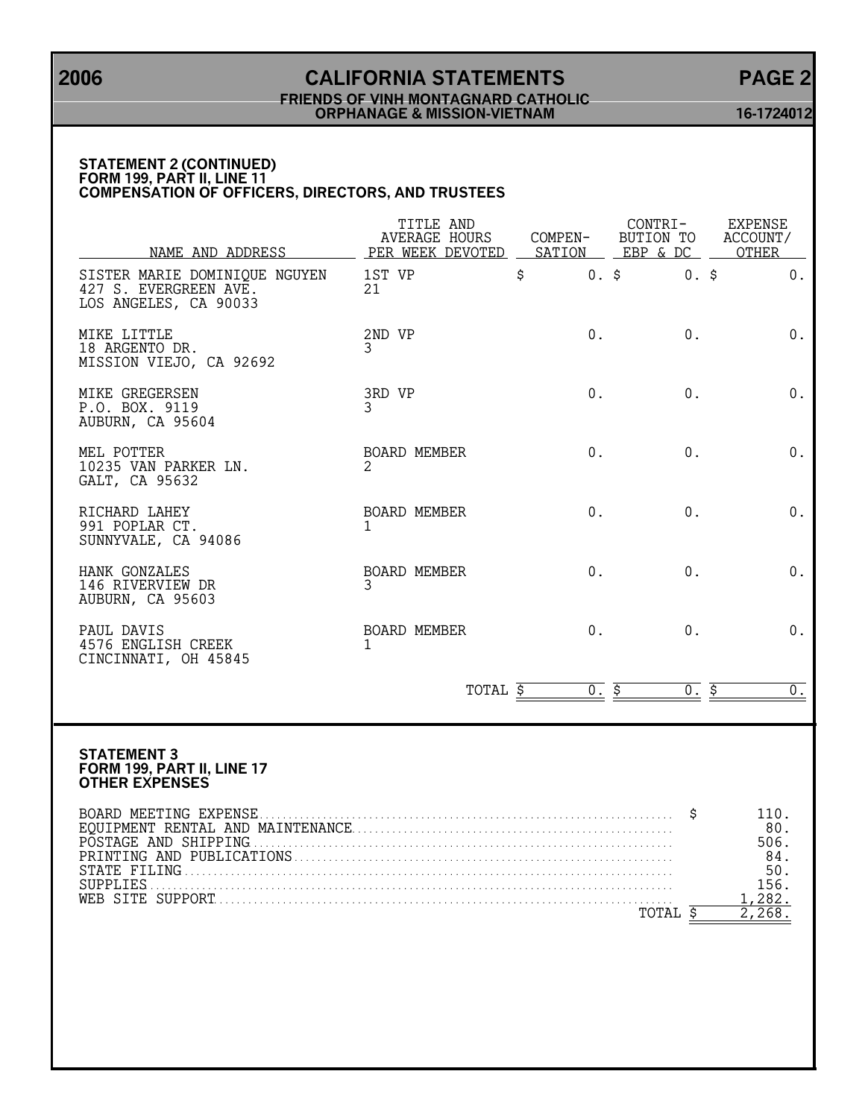# **2006 CALIFORNIA STATEMENTS PAGE 2 FRIENDS OF VINH MONTAGNARD CATHOLIC ORPHANAGE & MISSION-VIETNAM 16-1724012**

### **STATEMENT 2 (CONTINUED) FORM 199, PART II, LINE 11 COMPENSATION OF OFFICERS, DIRECTORS, AND TRUSTEES**

| NAME AND ADDRESS                                                                | TITLE AND<br><b>AVERAGE HOURS</b><br>PER WEEK DEVOTED | COMPEN-<br>SATION | CONTRI-<br>BUTION TO<br>EBP & DC | EXPENSE<br>ACCOUNT/<br>OTHER                          |  |
|---------------------------------------------------------------------------------|-------------------------------------------------------|-------------------|----------------------------------|-------------------------------------------------------|--|
| SISTER MARIE DOMINIQUE NGUYEN<br>427 S. EVERGREEN AVE.<br>LOS ANGELES, CA 90033 | 1ST VP<br>21                                          | \$<br>0.5         | $0.$ \$                          | 0.                                                    |  |
| MIKE LITTLE<br>18 ARGENTO DR.<br>MISSION VIEJO, CA 92692                        | 2ND VP<br>3                                           | $0$ .             | $0$ .                            | 0.                                                    |  |
| MIKE GREGERSEN<br>P.O. BOX. 9119<br>AUBURN, CA 95604                            | 3RD VP<br>3                                           | 0.                | 0.                               | 0.                                                    |  |
| MEL POTTER<br>10235 VAN PARKER LN.<br>GALT, CA 95632                            | <b>BOARD MEMBER</b><br>2                              | $0$ .             | 0.                               | 0.                                                    |  |
| RICHARD LAHEY<br>991 POPLAR CT.<br>SUNNYVALE, CA 94086                          | BOARD MEMBER<br>1                                     | 0.                | 0.                               | 0.                                                    |  |
| HANK GONZALES<br>146 RIVERVIEW DR<br>AUBURN, CA 95603                           | BOARD MEMBER<br>3                                     | $0$ .             | $0$ .                            | 0.                                                    |  |
| PAUL DAVIS<br>4576 ENGLISH CREEK<br>CINCINNATI, OH 45845                        | <b>BOARD MEMBER</b><br>1                              | 0.                | 0.                               | $0$ .                                                 |  |
|                                                                                 | TOTAL \$                                              | 0.5               | $\overline{0.5}$                 | 0 <sub>1</sub>                                        |  |
| <b>STATEMENT 3</b><br>FORM 199, PART II, LINE 17<br><b>OTHER EXPENSES</b>       |                                                       |                   | S                                | 110.                                                  |  |
|                                                                                 |                                                       |                   | TOTAL \$                         | 80.<br>506.<br>84.<br>50.<br>156.<br>1,282.<br>2,268. |  |